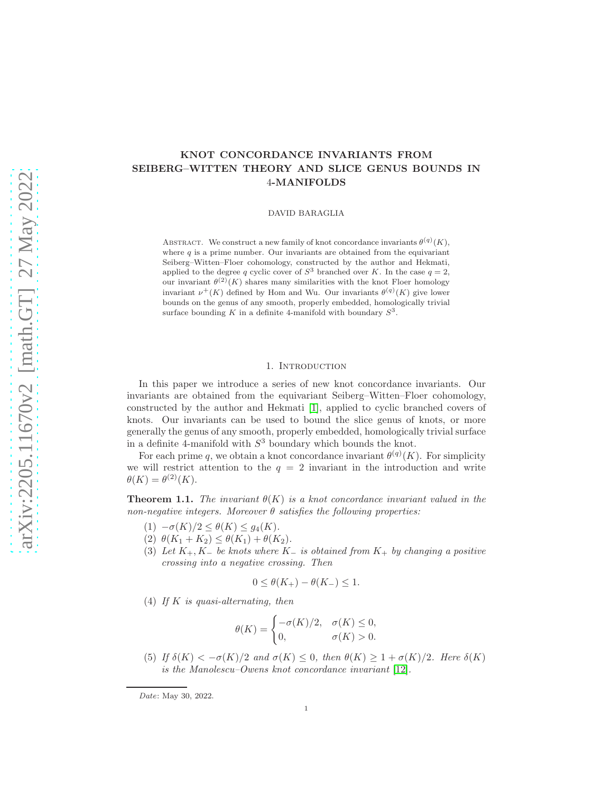# KNOT CONCORDANCE INVARIANTS FROM SEIBERG–WITTEN THEORY AND SLICE GENUS BOUNDS IN 4-MANIFOLDS

DAVID BARAGLIA

ABSTRACT. We construct a new family of knot concordance invariants  $\theta^{(q)}(K)$ , where  $q$  is a prime number. Our invariants are obtained from the equivariant Seiberg–Witten–Floer cohomology, constructed by the author and Hekmati, applied to the degree q cyclic cover of  $S^3$  branched over K. In the case  $q=2$ , our invariant  $\theta^{(2)}(K)$  shares many similarities with the knot Floer homology invariant  $\nu^+(K)$  defined by Hom and Wu. Our invariants  $\theta^{(q)}(K)$  give lower bounds on the genus of any smooth, properly embedded, homologically trivial surface bounding K in a definite 4-manifold with boundary  $S^3$ .

### 1. Introduction

In this paper we introduce a series of new knot concordance invariants. Our invariants are obtained from the equivariant Seiberg–Witten–Floer cohomology, constructed by the author and Hekmati [\[1\]](#page-23-0), applied to cyclic branched covers of knots. Our invariants can be used to bound the slice genus of knots, or more generally the genus of any smooth, properly embedded, homologically trivial surface in a definite 4-manifold with  $S<sup>3</sup>$  boundary which bounds the knot.

For each prime q, we obtain a knot concordance invariant  $\theta^{(q)}(K)$ . For simplicity we will restrict attention to the  $q = 2$  invariant in the introduction and write  $\theta(K) = \theta^{(2)}(K).$ 

<span id="page-0-0"></span>**Theorem 1.1.** The invariant  $\theta(K)$  is a knot concordance invariant valued in the non-negative integers. Moreover  $\theta$  satisfies the following properties:

- (1)  $-\sigma(K)/2 \leq \theta(K) \leq g_4(K)$ .
- (2)  $\theta(K_1 + K_2) \leq \theta(K_1) + \theta(K_2)$ .
- (3) Let  $K_+$ ,  $K_-\,$  be knots where  $K_-\,$  is obtained from  $K_+\,$  by changing a positive crossing into a negative crossing. Then

$$
0 \le \theta(K_+) - \theta(K_-) \le 1.
$$

(4) If K is quasi-alternating, then

$$
\theta(K) = \begin{cases}\n-\sigma(K)/2, & \sigma(K) \le 0, \\
0, & \sigma(K) > 0.\n\end{cases}
$$

(5) If  $\delta(K) < -\sigma(K)/2$  and  $\sigma(K) \leq 0$ , then  $\theta(K) \geq 1 + \sigma(K)/2$ . Here  $\delta(K)$ is the Manolescu–Owens knot concordance invariant [\[12\]](#page-23-1).

Date: May 30, 2022.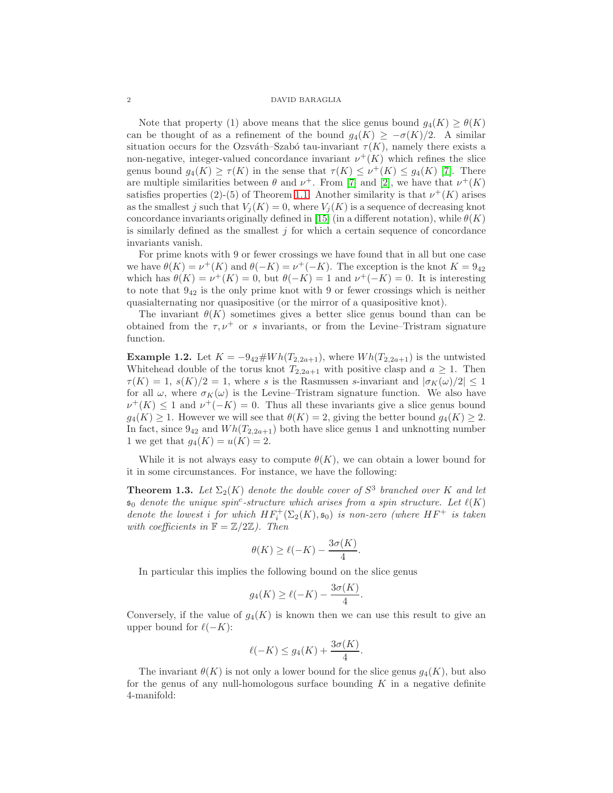Note that property (1) above means that the slice genus bound  $g_4(K) \geq \theta(K)$ can be thought of as a refinement of the bound  $g_4(K) \geq -\sigma(K)/2$ . A similar situation occurs for the Ozsváth–Szabó tau-invariant  $\tau(K)$ , namely there exists a non-negative, integer-valued concordance invariant  $\nu^+(K)$  which refines the slice genus bound  $g_4(K) \geq \tau(K)$  in the sense that  $\tau(K) \leq \nu^+(K) \leq g_4(K)$  [\[7\]](#page-23-2). There are multiple similarities between  $\theta$  and  $\nu^+$ . From [\[7\]](#page-23-2) and [\[2\]](#page-23-3), we have that  $\nu^+(K)$ satisfies properties (2)-(5) of Theorem [1.1.](#page-0-0) Another similarity is that  $\nu^+(K)$  arises as the smallest j such that  $V_i(K) = 0$ , where  $V_i(K)$  is a sequence of decreasing knot concordance invariants originally defined in [\[15\]](#page-23-4) (in a different notation), while  $\theta(K)$ is similarly defined as the smallest  $j$  for which a certain sequence of concordance invariants vanish.

For prime knots with 9 or fewer crossings we have found that in all but one case we have  $\theta(K) = \nu^+(K)$  and  $\theta(-K) = \nu^+(-K)$ . The exception is the knot  $K = 9_{42}$ which has  $\theta(K) = \nu^+(K) = 0$ , but  $\theta(-K) = 1$  and  $\nu^+(-K) = 0$ . It is interesting to note that  $9_{42}$  is the only prime knot with 9 or fewer crossings which is neither quasialternating nor quasipositive (or the mirror of a quasipositive knot).

The invariant  $\theta(K)$  sometimes gives a better slice genus bound than can be obtained from the  $\tau, \nu^+$  or s invariants, or from the Levine–Tristram signature function.

**Example 1.2.** Let  $K = -9_{42} \# Wh(T_{2,2a+1})$ , where  $Wh(T_{2,2a+1})$  is the untwisted Whitehead double of the torus knot  $T_{2,2a+1}$  with positive clasp and  $a \geq 1$ . Then  $\tau(K) = 1$ ,  $s(K)/2 = 1$ , where s is the Rasmussen s-invariant and  $|\sigma_K(\omega)/2| \leq 1$ for all  $\omega$ , where  $\sigma_K(\omega)$  is the Levine–Tristram signature function. We also have  $\nu^+(K) \leq 1$  and  $\nu^+(-K) = 0$ . Thus all these invariants give a slice genus bound  $g_4(K) \geq 1$ . However we will see that  $\theta(K) = 2$ , giving the better bound  $g_4(K) \geq 2$ . In fact, since  $9_{42}$  and  $Wh(T_{2,2a+1})$  both have slice genus 1 and unknotting number 1 we get that  $g_4(K) = u(K) = 2$ .

While it is not always easy to compute  $\theta(K)$ , we can obtain a lower bound for it in some circumstances. For instance, we have the following:

**Theorem 1.3.** Let  $\Sigma_2(K)$  denote the double cover of  $S^3$  branched over K and let  $\mathfrak{s}_0$  denote the unique spin<sup>c</sup>-structure which arises from a spin structure. Let  $\ell(K)$ denote the lowest i for which  $HF_i^+(\Sigma_2(K), \mathfrak{s}_0)$  is non-zero (where  $HF^+$  is taken with coefficients in  $\mathbb{F} = \mathbb{Z}/2\mathbb{Z}$ ). Then

$$
\theta(K) \ge \ell(-K) - \frac{3\sigma(K)}{4}.
$$

In particular this implies the following bound on the slice genus

$$
g_4(K) \ge \ell(-K) - \frac{3\sigma(K)}{4}.
$$

Conversely, if the value of  $g_4(K)$  is known then we can use this result to give an upper bound for  $\ell(-K)$ :

$$
\ell(-K) \le g_4(K) + \frac{3\sigma(K)}{4}.
$$

The invariant  $\theta(K)$  is not only a lower bound for the slice genus  $g_4(K)$ , but also for the genus of any null-homologous surface bounding  $K$  in a negative definite 4-manifold: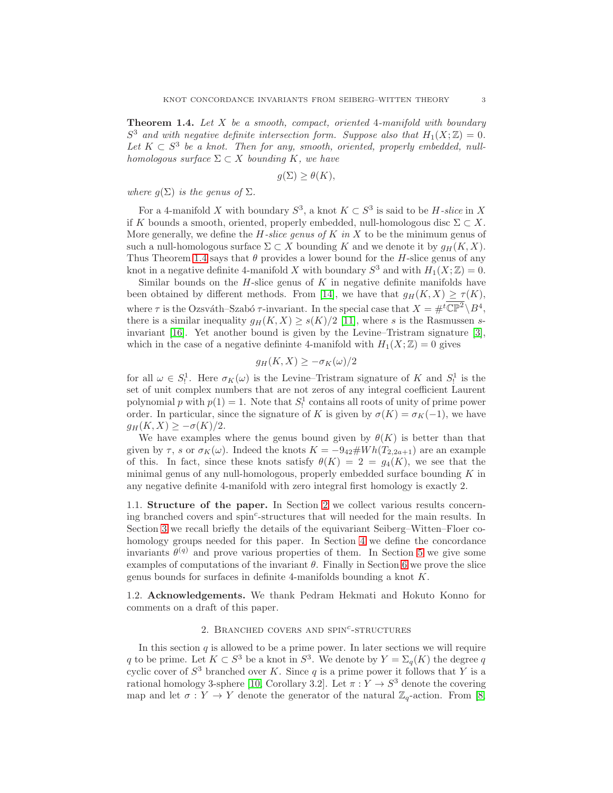<span id="page-2-0"></span>**Theorem 1.4.** Let  $X$  be a smooth, compact, oriented 4-manifold with boundary  $S^3$  and with negative definite intersection form. Suppose also that  $H_1(X;\mathbb{Z})=0$ . Let  $K \subset S^3$  be a knot. Then for any, smooth, oriented, properly embedded, nullhomologous surface  $\Sigma \subset X$  bounding K, we have

$$
g(\Sigma) \ge \theta(K),
$$

where  $g(\Sigma)$  is the genus of  $\Sigma$ .

For a 4-manifold X with boundary  $S^3$ , a knot  $K \subset S^3$  is said to be H-slice in X if K bounds a smooth, oriented, properly embedded, null-homologous disc  $\Sigma \subset X$ . More generally, we define the  $H$ -slice genus of  $K$  in X to be the minimum genus of such a null-homologous surface  $\Sigma \subset X$  bounding K and we denote it by  $g_H(K, X)$ . Thus Theorem [1.4](#page-2-0) says that  $\theta$  provides a lower bound for the H-slice genus of any knot in a negative definite 4-manifold X with boundary  $S^3$  and with  $H_1(X;\mathbb{Z})=0$ .

Similar bounds on the  $H$ -slice genus of  $K$  in negative definite manifolds have been obtained by different methods. From [\[14\]](#page-23-5), we have that  $g_H(K, X) \geq \tau(K)$ , where  $\tau$  is the Ozsváth–Szabó  $\tau$ -invariant. In the special case that  $X = \#^t \mathbb{CP}^2 \setminus B^4$ , there is a similar inequality  $g_H(K, X) \geq s(K)/2$  [\[11\]](#page-23-6), where s is the Rasmussen sinvariant [\[16\]](#page-23-7). Yet another bound is given by the Levine–Tristram signature [\[3\]](#page-23-8), which in the case of a negative defininte 4-manifold with  $H_1(X; \mathbb{Z}) = 0$  gives

$$
g_H(K, X) \ge -\sigma_K(\omega)/2
$$

for all  $\omega \in S_!^1$ . Here  $\sigma_K(\omega)$  is the Levine–Tristram signature of K and  $S_!^1$  is the set of unit complex numbers that are not zeros of any integral coefficient Laurent polynomial p with  $p(1) = 1$ . Note that  $S_1^1$  contains all roots of unity of prime power order. In particular, since the signature of K is given by  $\sigma(K) = \sigma_K(-1)$ , we have  $g_H(K, X) \geq -\sigma(K)/2.$ 

We have examples where the genus bound given by  $\theta(K)$  is better than that given by  $\tau$ , s or  $\sigma_K(\omega)$ . Indeed the knots  $K = -9_{42} \# Wh(T_{2,2a+1})$  are an example of this. In fact, since these knots satisfy  $\theta(K) = 2 = q_4(K)$ , we see that the minimal genus of any null-homologous, properly embedded surface bounding  $K$  in any negative definite 4-manifold with zero integral first homology is exactly 2.

1.1. Structure of the paper. In Section [2](#page-2-1) we collect various results concerning branched covers and spin<sup>c</sup>-structures that will needed for the main results. In Section [3](#page-9-0) we recall briefly the details of the equivariant Seiberg–Witten–Floer cohomology groups needed for this paper. In Section [4](#page-11-0) we define the concordance invariants  $\theta^{(q)}$  and prove various properties of them. In Section [5](#page-18-0) we give some examples of computations of the invariant  $\theta$ . Finally in Section [6](#page-20-0) we prove the slice genus bounds for surfaces in definite 4-manifolds bounding a knot K.

<span id="page-2-1"></span>1.2. Acknowledgements. We thank Pedram Hekmati and Hokuto Konno for comments on a draft of this paper.

## 2. BRANCHED COVERS AND SPIN<sup>c</sup>-STRUCTURES

In this section  $q$  is allowed to be a prime power. In later sections we will require q to be prime. Let  $K \subset S^3$  be a knot in  $S^3$ . We denote by  $Y = \Sigma_q(K)$  the degree q cyclic cover of  $S^3$  branched over K. Since q is a prime power it follows that Y is a rational homology 3-sphere [\[10,](#page-23-9) Corollary 3.2]. Let  $\pi: Y \to S^3$  denote the covering map and let  $\sigma: Y \to Y$  denote the generator of the natural  $\mathbb{Z}_q$ -action. From [\[8,](#page-23-10)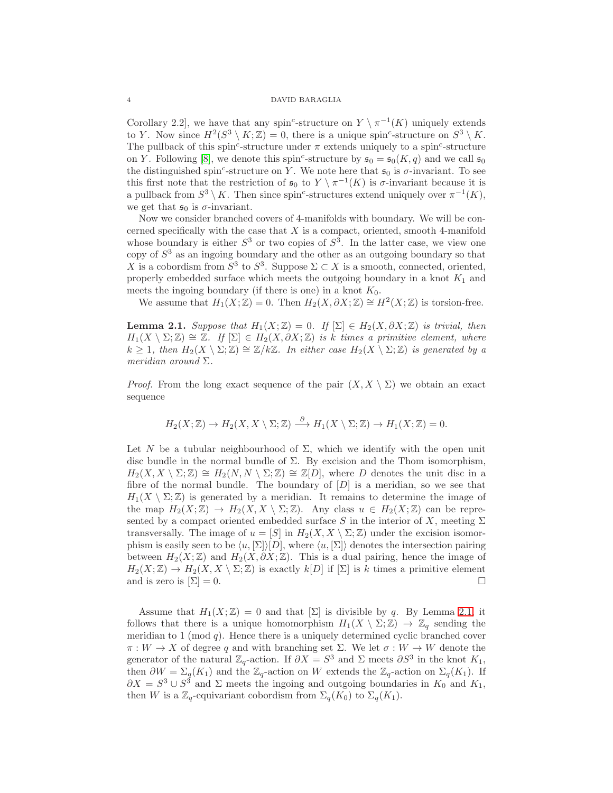Corollary 2.2, we have that any spin<sup>c</sup>-structure on  $Y \setminus \pi^{-1}(K)$  uniquely extends to Y. Now since  $H^2(S^3 \setminus K; \mathbb{Z}) = 0$ , there is a unique spin<sup>c</sup>-structure on  $S^3 \setminus K$ . The pullback of this spin<sup>c</sup>-structure under  $\pi$  extends uniquely to a spin<sup>c</sup>-structure on Y. Following [\[8\]](#page-23-10), we denote this spin<sup>c</sup>-structure by  $\mathfrak{s}_0 = \mathfrak{s}_0(K, q)$  and we call  $\mathfrak{s}_0$ the distinguished spin<sup>c</sup>-structure on Y. We note here that  $\mathfrak{s}_0$  is  $\sigma$ -invariant. To see this first note that the restriction of  $\mathfrak{s}_0$  to  $Y \setminus \pi^{-1}(K)$  is  $\sigma$ -invariant because it is a pullback from  $S^3 \setminus K$ . Then since spin<sup>c</sup>-structures extend uniquely over  $\pi^{-1}(K)$ , we get that  $\mathfrak{s}_0$  is  $\sigma$ -invariant.

Now we consider branched covers of 4-manifolds with boundary. We will be concerned specifically with the case that  $X$  is a compact, oriented, smooth 4-manifold whose boundary is either  $S^3$  or two copies of  $S^3$ . In the latter case, we view one copy of  $S<sup>3</sup>$  as an ingoing boundary and the other as an outgoing boundary so that X is a cobordism from  $S^3$  to  $S^3$ . Suppose  $\Sigma \subset X$  is a smooth, connected, oriented, properly embedded surface which meets the outgoing boundary in a knot  $K_1$  and meets the ingoing boundary (if there is one) in a knot  $K_0$ .

We assume that  $H_1(X;\mathbb{Z})=0$ . Then  $H_2(X,\partial X;\mathbb{Z})\cong H^2(X;\mathbb{Z})$  is torsion-free.

<span id="page-3-0"></span>**Lemma 2.1.** Suppose that  $H_1(X;\mathbb{Z}) = 0$ . If  $[\Sigma] \in H_2(X, \partial X; \mathbb{Z})$  is trivial, then  $H_1(X \setminus \Sigma;\mathbb{Z}) \cong \mathbb{Z}$ . If  $[\Sigma] \in H_2(X,\partial X;\mathbb{Z})$  is k times a primitive element, where  $k \geq 1$ , then  $H_2(X \setminus \Sigma;\mathbb{Z}) \cong \mathbb{Z}/k\mathbb{Z}$ . In either case  $H_2(X \setminus \Sigma;\mathbb{Z})$  is generated by a meridian around  $\Sigma$ .

*Proof.* From the long exact sequence of the pair  $(X, X \setminus \Sigma)$  we obtain an exact sequence

$$
H_2(X;\mathbb{Z}) \to H_2(X,X \setminus \Sigma;\mathbb{Z}) \xrightarrow{\partial} H_1(X \setminus \Sigma;\mathbb{Z}) \to H_1(X;\mathbb{Z}) = 0.
$$

Let N be a tubular neighbourhood of  $\Sigma$ , which we identify with the open unit disc bundle in the normal bundle of  $\Sigma$ . By excision and the Thom isomorphism,  $H_2(X, X \setminus \Sigma; \mathbb{Z}) \cong H_2(N, N \setminus \Sigma; \mathbb{Z}) \cong \mathbb{Z}[D]$ , where D denotes the unit disc in a fibre of the normal bundle. The boundary of  $[D]$  is a meridian, so we see that  $H_1(X \setminus \Sigma;\mathbb{Z})$  is generated by a meridian. It remains to determine the image of the map  $H_2(X;\mathbb{Z}) \to H_2(X,X \setminus \Sigma;\mathbb{Z})$ . Any class  $u \in H_2(X;\mathbb{Z})$  can be represented by a compact oriented embedded surface S in the interior of X, meeting  $\Sigma$ transversally. The image of  $u = [S]$  in  $H_2(X, X \setminus \Sigma; \mathbb{Z})$  under the excision isomorphism is easily seen to be  $\langle u, [\Sigma] \rangle [D]$ , where  $\langle u, [\Sigma] \rangle$  denotes the intersection pairing between  $H_2(X;\mathbb{Z})$  and  $H_2(X,\partial X;\mathbb{Z})$ . This is a dual pairing, hence the image of  $H_2(X;\mathbb{Z}) \to H_2(X,X \setminus \Sigma;\mathbb{Z})$  is exactly  $k[D]$  if  $[\Sigma]$  is k times a primitive element and is zero is  $[\Sigma] = 0$ .

Assume that  $H_1(X;\mathbb{Z}) = 0$  and that  $[\Sigma]$  is divisible by q. By Lemma [2.1,](#page-3-0) it follows that there is a unique homomorphism  $H_1(X \setminus \Sigma; \mathbb{Z}) \to \mathbb{Z}_q$  sending the meridian to 1 (mod  $q$ ). Hence there is a uniquely determined cyclic branched cover  $\pi: W \to X$  of degree q and with branching set  $\Sigma$ . We let  $\sigma: W \to W$  denote the generator of the natural  $\mathbb{Z}_q$ -action. If  $\partial X = S^3$  and  $\Sigma$  meets  $\partial S^3$  in the knot  $K_1$ , then  $\partial W = \Sigma_q(K_1)$  and the  $\mathbb{Z}_q$ -action on W extends the  $\mathbb{Z}_q$ -action on  $\Sigma_q(K_1)$ . If  $\partial X = S^3 \cup S^3$  and  $\Sigma$  meets the ingoing and outgoing boundaries in  $K_0$  and  $K_1$ , then W is a  $\mathbb{Z}_q$ -equivariant cobordism from  $\Sigma_q(K_0)$  to  $\Sigma_q(K_1)$ .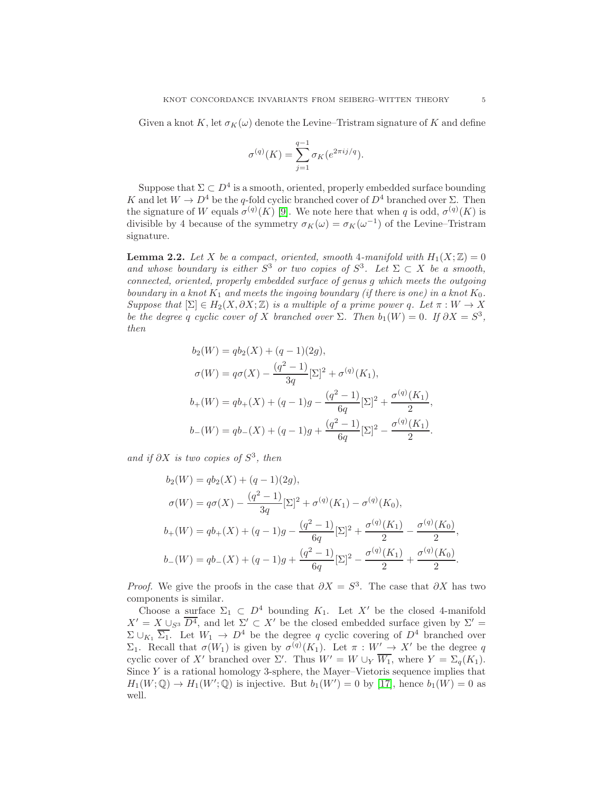Given a knot K, let  $\sigma_K(\omega)$  denote the Levine–Tristram signature of K and define

$$
\sigma^{(q)}(K) = \sum_{j=1}^{q-1} \sigma_K(e^{2\pi i j/q}).
$$

Suppose that  $\Sigma \subset D^4$  is a smooth, oriented, properly embedded surface bounding K and let  $W \to D^4$  be the q-fold cyclic branched cover of  $D^4$  branched over  $\Sigma$ . Then the signature of W equals  $\sigma^{(q)}(K)$  [\[9\]](#page-23-11). We note here that when q is odd,  $\sigma^{(q)}(K)$  is divisible by 4 because of the symmetry  $\sigma_K(\omega) = \sigma_K(\omega^{-1})$  of the Levine–Tristram signature.

<span id="page-4-0"></span>**Lemma 2.2.** Let X be a compact, oriented, smooth 4-manifold with  $H_1(X;\mathbb{Z}) = 0$ and whose boundary is either  $S^3$  or two copies of  $S^3$ . Let  $\Sigma \subset X$  be a smooth, connected, oriented, properly embedded surface of genus g which meets the outgoing boundary in a knot  $K_1$  and meets the ingoing boundary (if there is one) in a knot  $K_0$ . Suppose that  $[\Sigma] \in H_2(X, \partial X; \mathbb{Z})$  is a multiple of a prime power q. Let  $\pi : W \to X$ be the degree q cyclic cover of X branched over  $\Sigma$ . Then  $b_1(W) = 0$ . If  $\partial X = S^3$ , then

$$
b_2(W) = qb_2(X) + (q - 1)(2g),
$$
  
\n
$$
\sigma(W) = q\sigma(X) - \frac{(q^2 - 1)}{3q} [\Sigma]^2 + \sigma^{(q)}(K_1),
$$
  
\n
$$
b_+(W) = qb_+(X) + (q - 1)g - \frac{(q^2 - 1)}{6q} [\Sigma]^2 + \frac{\sigma^{(q)}(K_1)}{2},
$$
  
\n
$$
b_-(W) = qb_-(X) + (q - 1)g + \frac{(q^2 - 1)}{6q} [\Sigma]^2 - \frac{\sigma^{(q)}(K_1)}{2}.
$$

and if  $\partial X$  is two copies of  $S^3$ , then

$$
b_2(W) = qb_2(X) + (q - 1)(2g),
$$
  
\n
$$
\sigma(W) = q\sigma(X) - \frac{(q^2 - 1)}{3q}[\Sigma]^2 + \sigma^{(q)}(K_1) - \sigma^{(q)}(K_0),
$$
  
\n
$$
b_+(W) = qb_+(X) + (q - 1)g - \frac{(q^2 - 1)}{6q}[\Sigma]^2 + \frac{\sigma^{(q)}(K_1)}{2} - \frac{\sigma^{(q)}(K_0)}{2}
$$
  
\n
$$
b_-(W) = qb_-(X) + (q - 1)g + \frac{(q^2 - 1)}{6q}[\Sigma]^2 - \frac{\sigma^{(q)}(K_1)}{2} + \frac{\sigma^{(q)}(K_0)}{2}
$$

*Proof.* We give the proofs in the case that  $\partial X = S^3$ . The case that  $\partial X$  has two components is similar.

Choose a surface  $\Sigma_1 \subset D^4$  bounding  $K_1$ . Let X' be the closed 4-manifold  $X' = X \cup_{S^3} \overline{D^4}$ , and let  $\Sigma' \subset X'$  be the closed embedded surface given by  $\Sigma' =$  $\Sigma \cup_{K_1} \overline{\Sigma_1}$ . Let  $W_1 \to D^4$  be the degree q cyclic covering of  $D^4$  branched over  $\Sigma_1$ . Recall that  $\sigma(W_1)$  is given by  $\sigma^{(q)}(K_1)$ . Let  $\pi : W' \to X'$  be the degree q cyclic cover of X' branched over  $\Sigma'$ . Thus  $W' = W \cup_Y \overline{W_1}$ , where  $Y = \Sigma_q(K_1)$ . Since  $Y$  is a rational homology 3-sphere, the Mayer–Vietoris sequence implies that  $H_1(W; \mathbb{Q}) \to H_1(W'; \mathbb{Q})$  is injective. But  $b_1(W') = 0$  by [\[17\]](#page-24-0), hence  $b_1(W) = 0$  as well.

,

.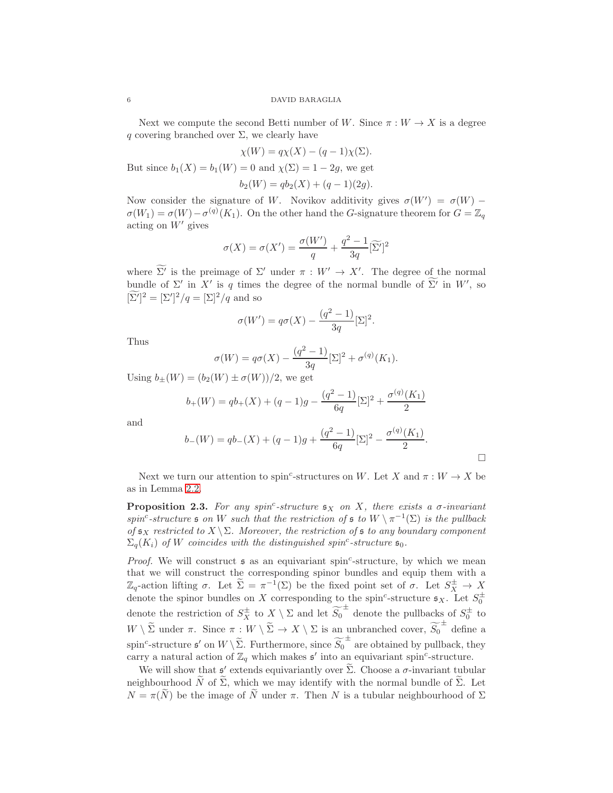Next we compute the second Betti number of W. Since  $\pi : W \to X$  is a degree q covering branched over  $\Sigma$ , we clearly have

$$
\chi(W) = q\chi(X) - (q-1)\chi(\Sigma).
$$

But since  $b_1(X) = b_1(W) = 0$  and  $\chi(\Sigma) = 1 - 2g$ , we get

$$
b_2(W) = qb_2(X) + (q-1)(2g).
$$

Now consider the signature of W. Novikov additivity gives  $\sigma(W') = \sigma(W)$  –  $\sigma(W_1) = \sigma(W) - \sigma^{(q)}(K_1)$ . On the other hand the G-signature theorem for  $G = \mathbb{Z}_q$ acting on  $W'$  gives

$$
\sigma(X) = \sigma(X') = \frac{\sigma(W')}{q} + \frac{q^2 - 1}{3q} [\widetilde{\Sigma'}]^2
$$

where  $\overline{\Sigma'}$  is the preimage of  $\Sigma'$  under  $\pi : W' \to X'$ . The degree of the normal bundle of  $\Sigma'$  in X' is q times the degree of the normal bundle of  $\Sigma'$  in W', so  $[\Sigma']^2 = [\Sigma']^2 / q = [\Sigma]^2 / q$  and so

$$
\sigma(W') = q\sigma(X) - \frac{(q^2 - 1)}{3q}[\Sigma]^2.
$$

Thus

$$
\sigma(W) = q\sigma(X) - \frac{(q^2 - 1)}{3q} [\Sigma]^2 + \sigma^{(q)}(K_1).
$$

Using  $b_{\pm}(W) = (b_2(W) \pm \sigma(W))/2$ , we get

$$
b_{+}(W) = qb_{+}(X) + (q-1)g - \frac{(q^{2}-1)}{6q}[\Sigma]^{2} + \frac{\sigma^{(q)}(K_{1})}{2}
$$

and

$$
b_{-}(W) = qb_{-}(X) + (q-1)g + \frac{(q^{2}-1)}{6q}[\Sigma]^{2} - \frac{\sigma^{(q)}(K_{1})}{2}.
$$

 $\Box$ 

Next we turn our attention to spin<sup>c</sup>-structures on W. Let X and  $\pi : W \to X$  be as in Lemma [2.2.](#page-4-0)

<span id="page-5-0"></span>**Proposition 2.3.** For any spin<sup>c</sup>-structure  $\mathfrak{s}_X$  on X, there exists a  $\sigma$ -invariant spin<sup>c</sup>-structure  $\mathfrak s$  on W such that the restriction of  $\mathfrak s$  to  $W \setminus \pi^{-1}(\Sigma)$  is the pullback of  $\mathfrak{s}_X$  restricted to  $X \setminus \Sigma$ . Moreover, the restriction of  $\mathfrak{s}$  to any boundary component  $\Sigma_q(K_i)$  of W coincides with the distinguished spin<sup>c</sup>-structure  $\mathfrak{s}_0$ .

*Proof.* We will construct  $s$  as an equivariant spin<sup>c</sup>-structure, by which we mean that we will construct the corresponding spinor bundles and equip them with a  $\mathbb{Z}_q$ -action lifting σ. Let  $\widetilde{\Sigma} = \pi^{-1}(\Sigma)$  be the fixed point set of σ. Let  $S_X^{\pm} \to X$ denote the spinor bundles on X corresponding to the spin<sup>c</sup>-structure  $\mathfrak{s}_X$ . Let  $S_0^{\pm}$ denote the restriction of  $S_X^{\pm}$  to  $X \setminus \Sigma$  and let  $\widetilde{S_0}^{\pm}$  denote the pullbacks of  $S_0^{\pm}$  to  $W \setminus \widetilde{\Sigma}$  under  $\pi$ . Since  $\pi : W \setminus \widetilde{\Sigma} \to X \setminus \Sigma$  is an unbranched cover,  $\widetilde{S_0}^{\pm}$  define a spin<sup>c</sup>-structure  $\mathfrak{s}'$  on  $W \setminus \widetilde{\Sigma}$ . Furthermore, since  $\widetilde{S_0}^{\pm}$  are obtained by pullback, they carry a natural action of  $\mathbb{Z}_q$  which makes  $\mathfrak{s}'$  into an equivariant spin<sup>c</sup>-structure.

We will show that  $\mathfrak{s}'$  extends equivariantly over  $\widetilde{\Sigma}$ . Choose a  $\sigma$ -invariant tubular neighbourhood  $\widetilde{N}$  of  $\widetilde{\Sigma}$ , which we may identify with the normal bundle of  $\widetilde{\Sigma}$ . Let  $N = \pi(N)$  be the image of N under  $\pi$ . Then N is a tubular neighbourhood of  $\Sigma$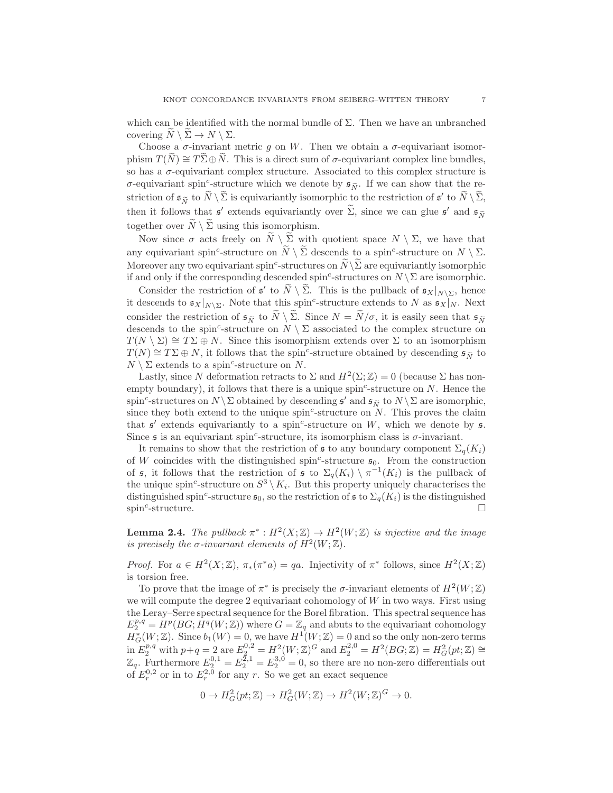which can be identified with the normal bundle of  $\Sigma$ . Then we have an unbranched covering  $N \setminus \Sigma \to N \setminus \Sigma$ .

Choose a  $\sigma$ -invariant metric g on W. Then we obtain a  $\sigma$ -equivariant isomorphism  $T(N) \cong T \Sigma \oplus N$ . This is a direct sum of  $\sigma$ -equivariant complex line bundles, so has a  $\sigma$ -equivariant complex structure. Associated to this complex structure is  $\sigma$ -equivariant spin<sup>c</sup>-structure which we denote by  $\mathfrak{s}_{\widetilde{N}}$ . If we can show that the restriction of  $\mathfrak{s}_{\widetilde{N}}$  to  $\widetilde{N} \setminus \widetilde{\Sigma}$  is equivariantly isomorphic to the restriction of  $\mathfrak{s}'$  to  $\widetilde{N} \setminus \widetilde{\Sigma}$ , then it follows that  $\mathfrak{s}'$  extends equivariantly over  $\widetilde{\Sigma}$ , since we can glue  $\mathfrak{s}'$  and  $\mathfrak{s}_{\widetilde{N}}$ together over  $\widetilde{N} \setminus \widetilde{\Sigma}$  using this isomorphism.

Now since  $\sigma$  acts freely on  $N \setminus \Sigma$  with quotient space  $N \setminus \Sigma$ , we have that any equivariant spin<sup>c</sup>-structure on  $\widetilde{N} \setminus \widetilde{\Sigma}$  descends to a spin<sup>c</sup>-structure on  $N \setminus \Sigma$ . Moreover any two equivariant spin<sup>c</sup>-structures on  $\widetilde{N}\backslash \widetilde{\Sigma}$  are equivariantly isomorphic if and only if the corresponding descended spin<sup>c</sup>-structures on  $N \setminus \Sigma$  are isomorphic.

Consider the restriction of  $\mathfrak{s}'$  to  $\widetilde{N} \setminus \widetilde{\Sigma}$ . This is the pullback of  $\mathfrak{s}_X|_{N \setminus \Sigma}$ , hence it descends to  $\mathfrak{s}_X|_{N\setminus\Sigma}$ . Note that this spin<sup>c</sup>-structure extends to N as  $\mathfrak{s}_X|_N$ . Next consider the restriction of  $\mathfrak{s}_{\widetilde{N}}$  to  $\widetilde{N} \setminus \widetilde{\Sigma}$ . Since  $N = \widetilde{N}/\sigma$ , it is easily seen that  $\mathfrak{s}_{\widetilde{N}}$ descends to the spin<sup>c</sup>-structure on  $N \setminus \Sigma$  associated to the complex structure on  $T(N \setminus \Sigma) \cong T\Sigma \oplus N$ . Since this isomorphism extends over  $\Sigma$  to an isomorphism  $T(N) \cong T\Sigma \oplus N$ , it follows that the spin<sup>c</sup>-structure obtained by descending  $\mathfrak{s}_{\widetilde{N}}$  to  $N \setminus \Sigma$  extends to a spin<sup>c</sup>-structure on N.

Lastly, since N deformation retracts to  $\Sigma$  and  $H^2(\Sigma;\mathbb{Z})=0$  (because  $\Sigma$  has nonempty boundary), it follows that there is a unique spin<sup>c</sup>-structure on  $N$ . Hence the spin<sup>c</sup>-structures on  $N \setminus \Sigma$  obtained by descending  $\mathfrak{s}'$  and  $\mathfrak{s}_{\widetilde{N}}$  to  $N \setminus \Sigma$  are isomorphic, since they both extend to the unique  $\text{spin}^c\text{-structure on }N$ . This proves the claim that  $\mathfrak{s}'$  extends equivariantly to a spin<sup>c</sup>-structure on W, which we denote by  $\mathfrak{s}$ . Since  $\mathfrak s$  is an equivariant spin<sup>c</sup>-structure, its isomorphism class is  $\sigma$ -invariant.

It remains to show that the restriction of s to any boundary component  $\Sigma_q(K_i)$ of W coincides with the distinguished spin<sup>c</sup>-structure  $\mathfrak{s}_0$ . From the construction of s, it follows that the restriction of s to  $\Sigma_q(K_i) \setminus \pi^{-1}(K_i)$  is the pullback of the unique spin<sup>c</sup>-structure on  $S^3 \setminus K_i$ . But this property uniquely characterises the distinguished spin<sup>c</sup>-structure  $\mathfrak{s}_0$ , so the restriction of  $\mathfrak{s}$  to  $\Sigma_q(K_i)$  is the distinguished  $\sin^c$ -structure.

<span id="page-6-0"></span>**Lemma 2.4.** The pullback  $\pi^*: H^2(X;\mathbb{Z}) \to H^2(W;\mathbb{Z})$  is injective and the image is precisely the  $\sigma$ -invariant elements of  $H^2(W; \mathbb{Z})$ .

*Proof.* For  $a \in H^2(X;\mathbb{Z})$ ,  $\pi_*(\pi^*a) = qa$ . Injectivity of  $\pi^*$  follows, since  $H^2(X;\mathbb{Z})$ is torsion free.

To prove that the image of  $\pi^*$  is precisely the  $\sigma$ -invariant elements of  $H^2(W;\mathbb{Z})$ we will compute the degree 2 equivariant cohomology of  $W$  in two ways. First using the Leray–Serre spectral sequence for the Borel fibration. This spectral sequence has  $E_2^{p,q} = H^p(BG; H^q(W; \mathbb{Z}))$  where  $G = \mathbb{Z}_q$  and abuts to the equivariant cohomology  $H^*_G(W;\mathbb{Z})$ . Since  $b_1(W) = 0$ , we have  $H^1(W;\mathbb{Z}) = 0$  and so the only non-zero terms in  $E_2^{p,q}$  with  $p+q=2$  are  $E_2^{0,2}=H^2(W;\mathbb{Z})^G$  and  $E_2^{2,0}=H^2(BG;\mathbb{Z})=H_G^2(pt;\mathbb{Z})\cong$  $\mathbb{Z}_q$ . Furthermore  $E_2^{0,1} = E_2^{2,1} = E_2^{3,0} = 0$ , so there are no non-zero differentials out of  $E_r^{0,2}$  or in to  $E_r^{2,0}$  for any r. So we get an exact sequence

$$
0 \to H^2_G(pt;\mathbb{Z}) \to H^2_G(W;\mathbb{Z}) \to H^2(W;\mathbb{Z})^G \to 0.
$$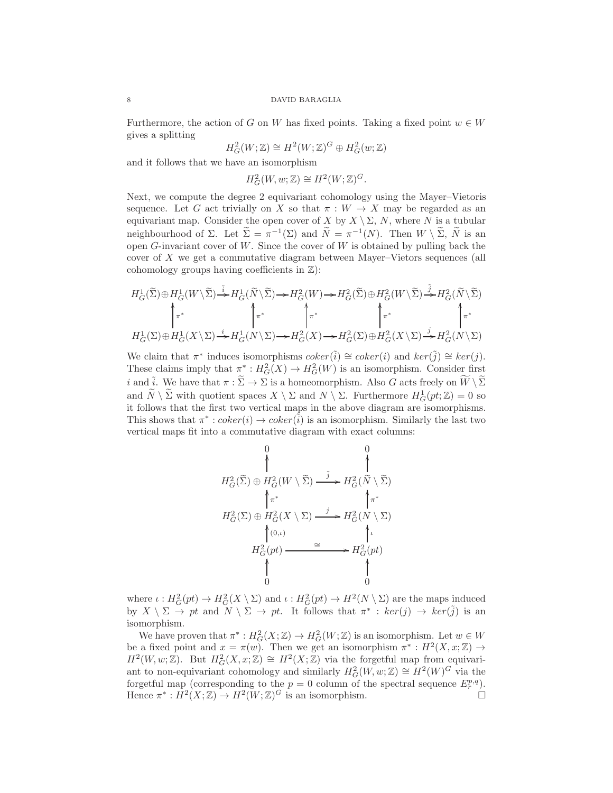Furthermore, the action of G on W has fixed points. Taking a fixed point  $w \in W$ gives a splitting

$$
H^2_G(W; \mathbb{Z}) \cong H^2(W; \mathbb{Z})^G \oplus H^2_G(w; \mathbb{Z})
$$

and it follows that we have an isomorphism

$$
H^2_G(W, w; \mathbb{Z}) \cong H^2(W; \mathbb{Z})^G.
$$

Next, we compute the degree 2 equivariant cohomology using the Mayer–Vietoris sequence. Let G act trivially on X so that  $\pi : W \to X$  may be regarded as an equivariant map. Consider the open cover of X by  $X \setminus \Sigma$ , N, where N is a tubular neighbourhood of  $\Sigma$ . Let  $\tilde{\Sigma} = \pi^{-1}(\Sigma)$  and  $\tilde{N} = \pi^{-1}(N)$ . Then  $W \setminus \tilde{\Sigma}$ ,  $\tilde{N}$  is an open  $G$ -invariant cover of  $W$ . Since the cover of  $W$  is obtained by pulling back the cover of X we get a commutative diagram between Mayer–Vietors sequences (all cohomology groups having coefficients in  $\mathbb{Z}$ ):

$$
H_G^1(\widetilde{\Sigma}) \oplus H_G^1(W \setminus \widetilde{\Sigma}) \stackrel{\tilde{i}}{\rightarrow} H_G^1(\widetilde{N} \setminus \widetilde{\Sigma}) \rightarrow H_G^2(W) \rightarrow H_G^2(\widetilde{\Sigma}) \oplus H_G^2(W \setminus \widetilde{\Sigma}) \stackrel{\tilde{j}}{\rightarrow} H_G^2(\widetilde{N} \setminus \widetilde{\Sigma})
$$
  

$$
\uparrow \pi^*
$$
  

$$
H_G^1(\Sigma) \oplus H_G^1(X \setminus \Sigma) \stackrel{i}{\rightarrow} H_G^1(N \setminus \Sigma) \rightarrow H_G^2(X) \rightarrow H_G^2(\Sigma) \oplus H_G^2(X \setminus \Sigma) \stackrel{j}{\rightarrow} H_G^2(N \setminus \Sigma)
$$

We claim that  $\pi^*$  induces isomorphisms  $coker(\tilde{i}) \cong coker(i)$  and  $ker(\tilde{j}) \cong ker(j)$ . These claims imply that  $\pi^*: H^2_G(X) \to H^2_G(W)$  is an isomorphism. Consider first i and  $\tilde{i}$ . We have that  $\pi : \tilde{\Sigma} \to \Sigma$  is a homeomorphism. Also G acts freely on  $\tilde{W} \setminus \tilde{\Sigma}$ and  $\widetilde{N} \setminus \widetilde{\Sigma}$  with quotient spaces  $X \setminus \Sigma$  and  $N \setminus \Sigma$ . Furthermore  $H_G^1(pt;\mathbb{Z}) = 0$  so it follows that the first two vertical maps in the above diagram are isomorphisms. This shows that  $\pi^* : coker(i) \to coker(\tilde{i})$  is an isomorphism. Similarly the last two vertical maps fit into a commutative diagram with exact columns:

$$
H_G^2(\widetilde{\Sigma}) \oplus H_G^2(W \setminus \widetilde{\Sigma}) \xrightarrow{\tilde{j}} H_G^2(\widetilde{N} \setminus \widetilde{\Sigma})
$$
  
\n
$$
\uparrow_{\pi^*} \qquad \uparrow_{\pi^*} \qquad \uparrow_{\pi^*}
$$
  
\n
$$
H_G^2(\Sigma) \oplus H_G^2(X \setminus \Sigma) \xrightarrow{\tilde{j}} H_G^2(N \setminus \Sigma)
$$
  
\n
$$
\uparrow_{(0,\iota)} \qquad \uparrow_{\iota}
$$
  
\n
$$
H_G^2(pt) \xrightarrow{\cong} H_G^2(pt)
$$
  
\n
$$
\uparrow
$$
  
\n
$$
\uparrow
$$
  
\n
$$
\uparrow
$$
  
\n
$$
\uparrow
$$
  
\n
$$
\uparrow
$$
  
\n
$$
\uparrow
$$
  
\n
$$
\uparrow
$$
  
\n
$$
\uparrow
$$
  
\n
$$
\uparrow
$$
  
\n
$$
\uparrow
$$
  
\n
$$
\uparrow
$$
  
\n
$$
\uparrow
$$
  
\n
$$
\uparrow
$$
  
\n
$$
\uparrow
$$
  
\n
$$
\uparrow
$$
  
\n
$$
\uparrow
$$
  
\n
$$
\uparrow
$$
  
\n
$$
\uparrow
$$
  
\n
$$
\uparrow
$$
  
\n
$$
\uparrow
$$
  
\n
$$
\uparrow
$$
  
\n
$$
\uparrow
$$
  
\n
$$
\uparrow
$$
  
\n
$$
\uparrow
$$
  
\n
$$
\uparrow
$$
  
\n
$$
\uparrow
$$
  
\n
$$
\uparrow
$$
  
\n
$$
\uparrow
$$
  
\n
$$
\uparrow
$$
  
\n
$$
\uparrow
$$
  
\n
$$
\uparrow
$$
  
\n
$$
\uparrow
$$
  
\n
$$
\uparrow
$$
  
\n
$$
\uparrow
$$
  
\n
$$
\uparrow
$$
  
\n
$$
\uparrow
$$
  
\n
$$
\uparrow
$$
  
\n
$$
\uparrow
$$
  
\n
$$
\uparrow
$$

where  $\iota: H^2_G(pt) \to H^2_G(X \setminus \Sigma)$  and  $\iota: H^2_G(pt) \to H^2(N \setminus \Sigma)$  are the maps induced by  $X \setminus \Sigma \to pt$  and  $N \setminus \Sigma \to pt$ . It follows that  $\pi^* : ker(j) \to ker(j)$  is an isomorphism.

We have proven that  $\pi^*: H^2_G(X;\mathbb{Z}) \to H^2_G(W;\mathbb{Z})$  is an isomorphism. Let  $w \in W$ be a fixed point and  $x = \pi(w)$ . Then we get an isomorphism  $\pi^* : H^2(X, x; \mathbb{Z}) \to$  $H^2(W, w; \mathbb{Z})$ . But  $H^2_G(X, x; \mathbb{Z}) \cong H^2(X; \mathbb{Z})$  via the forgetful map from equivariant to non-equivariant cohomology and similarly  $H_G^2(W, w; \mathbb{Z}) \cong H^2(W)^G$  via the forgetful map (corresponding to the  $p = 0$  column of the spectral sequence  $E_r^{p,q}$ ). Hence  $\pi^*: H^2(X;\mathbb{Z}) \to H^2(W;\mathbb{Z})^G$  is an isomorphism.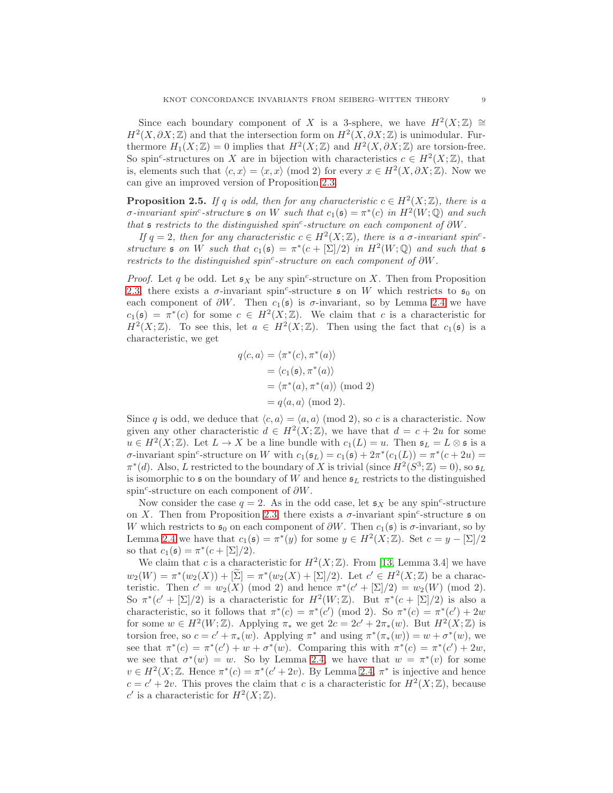Since each boundary component of X is a 3-sphere, we have  $H^2(X;\mathbb{Z}) \cong$  $H^2(X, \partial X; \mathbb{Z})$  and that the intersection form on  $H^2(X, \partial X; \mathbb{Z})$  is unimodular. Furthermore  $H_1(X;\mathbb{Z}) = 0$  implies that  $H^2(X;\mathbb{Z})$  and  $H^2(X,\partial X;\mathbb{Z})$  are torsion-free. So spin<sup>c</sup>-structures on X are in bijection with characteristics  $c \in H^2(X;\mathbb{Z})$ , that is, elements such that  $\langle c, x \rangle = \langle x, x \rangle \pmod{2}$  for every  $x \in H^2(X, \partial X; \mathbb{Z})$ . Now we can give an improved version of Proposition [2.3.](#page-5-0)

<span id="page-8-0"></span>**Proposition 2.5.** If q is odd, then for any characteristic  $c \in H^2(X;\mathbb{Z})$ , there is a  $\sigma$ -invariant spin<sup>c</sup>-structure  $\mathfrak s$  on W such that  $c_1(\mathfrak s) = \pi^*(c)$  in  $H^2(W; \mathbb Q)$  and such that  $\mathfrak s$  restricts to the distinguished spin<sup>c</sup>-structure on each component of  $\partial W$ .

If  $q = 2$ , then for any characteristic  $c \in H^2(X; \mathbb{Z})$ , there is a  $\sigma$ -invariant spin<sup>c</sup>structure  $\mathfrak s$  on W such that  $c_1(\mathfrak s) = \pi^*(c + [\Sigma]/2)$  in  $H^2(W; \mathbb Q)$  and such that  $\mathfrak s$ restricts to the distinguished spin<sup>c</sup>-structure on each component of  $\partial W$ .

*Proof.* Let q be odd. Let  $\mathfrak{s}_X$  be any spin<sup>c</sup>-structure on X. Then from Proposition [2.3,](#page-5-0) there exists a  $\sigma$ -invariant spin<sup>c</sup>-structure  $\mathfrak s$  on W which restricts to  $\mathfrak s_0$  on each component of  $\partial W$ . Then  $c_1(s)$  is  $\sigma$ -invariant, so by Lemma [2.4](#page-6-0) we have  $c_1(\mathfrak{s}) = \pi^*(c)$  for some  $c \in H^2(X;\mathbb{Z})$ . We claim that c is a characteristic for  $H^2(X;\mathbb{Z})$ . To see this, let  $a \in H^2(X;\mathbb{Z})$ . Then using the fact that  $c_1(\mathfrak{s})$  is a characteristic, we get

$$
q\langle c, a \rangle = \langle \pi^*(c), \pi^*(a) \rangle
$$
  
=  $\langle c_1(\mathfrak{s}), \pi^*(a) \rangle$   
=  $\langle \pi^*(a), \pi^*(a) \rangle$  (mod 2)  
=  $q\langle a, a \rangle$  (mod 2).

Since q is odd, we deduce that  $\langle c, a \rangle = \langle a, a \rangle \pmod{2}$ , so c is a characteristic. Now given any other characteristic  $d \in H^2(X;\mathbb{Z})$ , we have that  $d = c + 2u$  for some  $u \in H^2(X;\mathbb{Z})$ . Let  $L \to X$  be a line bundle with  $c_1(L) = u$ . Then  $\mathfrak{s}_L = L \otimes \mathfrak{s}$  is a *σ*-invariant spin<sup>c</sup>-structure on W with  $c_1(\mathfrak{s}_L) = c_1(\mathfrak{s}) + 2\pi^*(c_1(L)) = \pi^*(c + 2u) =$  $\pi^*(d)$ . Also, L restricted to the boundary of X is trivial (since  $H^2(S^3; \mathbb{Z}) = 0$ ), so  $\mathfrak{s}_L$ is isomorphic to s on the boundary of W and hence  $s_L$  restricts to the distinguished spin<sup>c</sup>-structure on each component of  $\partial W$ .

Now consider the case  $q = 2$ . As in the odd case, let  $\mathfrak{s}_X$  be any spin<sup>c</sup>-structure on X. Then from Proposition [2.3,](#page-5-0) there exists a  $\sigma$ -invariant spin<sup>c</sup>-structure  $\mathfrak s$  on W which restricts to  $\mathfrak{s}_0$  on each component of  $\partial W$ . Then  $c_1(\mathfrak{s})$  is  $\sigma$ -invariant, so by Lemma [2.4](#page-6-0) we have that  $c_1(\mathfrak{s}) = \pi^*(y)$  for some  $y \in H^2(X;\mathbb{Z})$ . Set  $c = y - [\Sigma]/2$ so that  $c_1(\mathfrak{s}) = \pi^*(c + [\Sigma]/2)$ .

We claim that c is a characteristic for  $H^2(X;\mathbb{Z})$ . From [\[13,](#page-23-12) Lemma 3.4] we have  $w_2(W) = \pi^*(w_2(X)) + [\Sigma] = \pi^*(w_2(X) + [\Sigma]/2)$ . Let  $c' \in H^2(X; \mathbb{Z})$  be a characteristic. Then  $c' = w_2(X) \pmod{2}$  and hence  $\pi^*(c' + [\Sigma]/2) = w_2(W) \pmod{2}$ . So  $\pi^*(c' + [\Sigma]/2)$  is a characteristic for  $H^2(W;\mathbb{Z})$ . But  $\pi^*(c + [\Sigma]/2)$  is also a characteristic, so it follows that  $\pi^*(c) = \pi^*(c') \pmod{2}$ . So  $\pi^*(c) = \pi^*(c') + 2w$ for some  $w \in H^2(W; \mathbb{Z})$ . Applying  $\pi_*$  we get  $2c = 2c' + 2\pi_*(w)$ . But  $H^2(X; \mathbb{Z})$  is torsion free, so  $c = c' + \pi_*(w)$ . Applying  $\pi^*$  and using  $\pi^*(\pi_*(w)) = w + \sigma^*(w)$ , we see that  $\pi^*(c) = \pi^*(c') + w + \sigma^*(w)$ . Comparing this with  $\pi^*(c) = \pi^*(c') + 2w$ , we see that  $\sigma^*(w) = w$ . So by Lemma [2.4,](#page-6-0) we have that  $w = \pi^*(v)$  for some  $v \in H^2(X;\mathbb{Z})$ . Hence  $\pi^*(c) = \pi^*(c'+2v)$ . By Lemma [2.4,](#page-6-0)  $\pi^*$  is injective and hence  $c = c' + 2v$ . This proves the claim that c is a characteristic for  $H<sup>2</sup>(X;\mathbb{Z})$ , because c' is a characteristic for  $H^2(X;\mathbb{Z})$ .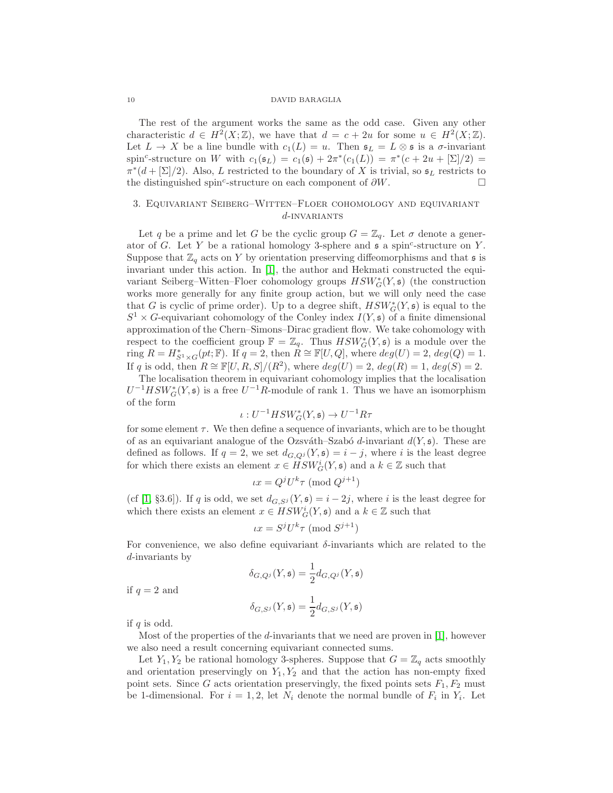The rest of the argument works the same as the odd case. Given any other characteristic  $d \in H^2(X;\mathbb{Z})$ , we have that  $d = c + 2u$  for some  $u \in H^2(X;\mathbb{Z})$ . Let  $L \to X$  be a line bundle with  $c_1(L) = u$ . Then  $\mathfrak{s}_L = L \otimes \mathfrak{s}$  is a  $\sigma$ -invariant spin<sup>c</sup>-structure on W with  $c_1(\mathfrak{s}_L) = c_1(\mathfrak{s}) + 2\pi^*(c_1(L)) = \pi^*(c + 2u + [\Sigma]/2) =$  $\pi^*(d + [\Sigma]/2)$ . Also, L restricted to the boundary of X is trivial, so  $\mathfrak{s}_L$  restricts to the distinguished spin<sup>c</sup>-structure on each component of  $\partial W$ .

## <span id="page-9-0"></span>3. Equivariant Seiberg–Witten–Floer cohomology and equivariant  $d$ -INVARIANTS

Let q be a prime and let G be the cyclic group  $G = \mathbb{Z}_q$ . Let  $\sigma$  denote a generator of G. Let Y be a rational homology 3-sphere and  $\mathfrak s$  a spin<sup>c</sup>-structure on Y. Suppose that  $\mathbb{Z}_q$  acts on Y by orientation preserving diffeomorphisms and that  $\mathfrak s$  is invariant under this action. In [\[1\]](#page-23-0), the author and Hekmati constructed the equivariant Seiberg–Witten–Floer cohomology groups  $HSW^*_{G}(Y, \mathfrak{s})$  (the construction works more generally for any finite group action, but we will only need the case that G is cyclic of prime order). Up to a degree shift,  $HSW^*_{G}(Y, \mathfrak{s})$  is equal to the  $S^1 \times G$ -equivariant cohomology of the Conley index  $I(Y, \mathfrak{s})$  of a finite dimensional approximation of the Chern–Simons–Dirac gradient flow. We take cohomology with respect to the coefficient group  $\mathbb{F} = \mathbb{Z}_q$ . Thus  $HSW^*_{G}(Y, \mathfrak{s})$  is a module over the ring  $R = H_{S^1 \times G}^*(pt; \mathbb{F})$ . If  $q = 2$ , then  $R \cong \mathbb{F}[U, Q]$ , where  $deg(U) = 2$ ,  $deg(Q) = 1$ . If q is odd, then  $R \cong \mathbb{F}[U, R, S]/(R^2)$ , where  $deg(U) = 2$ ,  $deg(R) = 1$ ,  $deg(S) = 2$ .

The localisation theorem in equivariant cohomology implies that the localisation  $U^{-1}HSW_G^*(Y, \mathfrak{s})$  is a free  $U^{-1}R$ -module of rank 1. Thus we have an isomorphism of the form

$$
\iota: U^{-1}HSW^*_G(Y, \mathfrak{s}) \to U^{-1}R\tau
$$

for some element  $\tau$ . We then define a sequence of invariants, which are to be thought of as an equivariant analogue of the Ozsváth–Szabó d-invariant  $d(Y, \mathfrak{s})$ . These are defined as follows. If  $q = 2$ , we set  $d_{G,Q}$  $(Y, \mathfrak{s}) = i - j$ , where i is the least degree for which there exists an element  $x \in HSW^i_G(Y, \mathfrak{s})$  and a  $k \in \mathbb{Z}$  such that

$$
\iota x = Q^j U^k \tau \pmod{Q^{j+1}}
$$

(cf [\[1,](#page-23-0) §3.6]). If q is odd, we set  $d_{G,S}$   $(Y, \mathfrak{s}) = i - 2j$ , where i is the least degree for which there exists an element  $x \in HSW^i_G(Y, \mathfrak{s})$  and a  $k \in \mathbb{Z}$  such that

$$
\iota x = S^j U^k \tau \pmod{S^{j+1}}
$$

For convenience, we also define equivariant  $\delta$ -invariants which are related to the d-invariants by

$$
\delta_{G,Q^j}(Y,\mathfrak{s})=\frac{1}{2}d_{G,Q^j}(Y,\mathfrak{s})
$$

if  $q = 2$  and

$$
\delta_{G,S^j}(Y,\mathfrak{s})=\frac{1}{2}d_{G,S^j}(Y,\mathfrak{s})
$$

if  $q$  is odd.

Most of the properties of the d-invariants that we need are proven in  $[1]$ , however we also need a result concerning equivariant connected sums.

Let  $Y_1, Y_2$  be rational homology 3-spheres. Suppose that  $G = \mathbb{Z}_q$  acts smoothly and orientation preservingly on  $Y_1, Y_2$  and that the action has non-empty fixed point sets. Since G acts orientation preservingly, the fixed points sets  $F_1, F_2$  must be 1-dimensional. For  $i = 1, 2$ , let  $N_i$  denote the normal bundle of  $F_i$  in  $Y_i$ . Let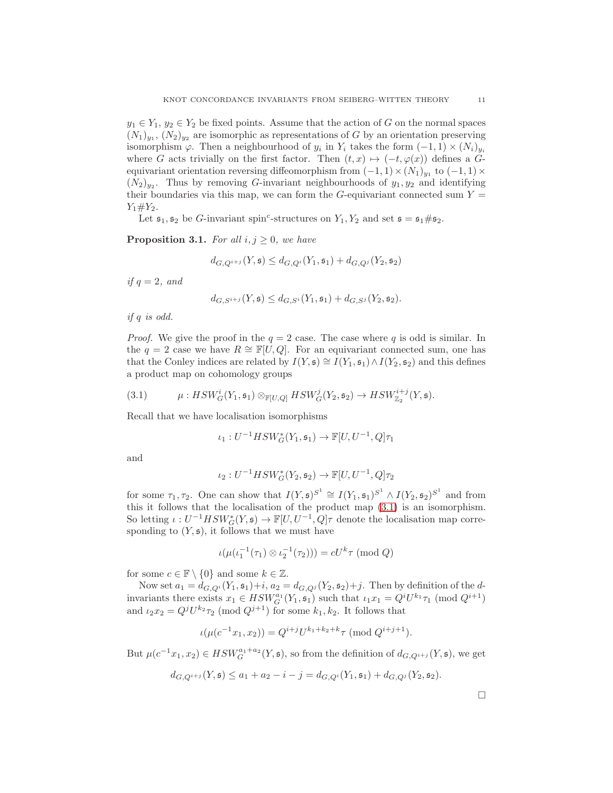$y_1 \in Y_1$ ,  $y_2 \in Y_2$  be fixed points. Assume that the action of G on the normal spaces  $(N_1)_{y_1}, (N_2)_{y_2}$  are isomorphic as representations of G by an orientation preserving isomorphism  $\varphi$ . Then a neighbourhood of  $y_i$  in  $Y_i$  takes the form  $(-1,1) \times (N_i)_{y_i}$ where G acts trivially on the first factor. Then  $(t, x) \mapsto (-t, \varphi(x))$  defines a Gequivariant orientation reversing diffeomorphism from  $(-1,1) \times (N_1)_{y_1}$  to  $(-1,1) \times$  $(N_2)_{y_2}$ . Thus by removing G-invariant neighbourhoods of  $y_1, y_2$  and identifying their boundaries via this map, we can form the  $G$ -equivariant connected sum  $Y =$  $Y_1 \# Y_2$ .

Let  $\mathfrak{s}_1, \mathfrak{s}_2$  be G-invariant spin<sup>c</sup>-structures on  $Y_1, Y_2$  and set  $\mathfrak{s} = \mathfrak{s}_1 \# \mathfrak{s}_2$ .

<span id="page-10-1"></span>**Proposition 3.1.** For all  $i, j \geq 0$ , we have

$$
d_{G,Q^{i+j}}(Y,\mathfrak{s}) \leq d_{G,Q^i}(Y_1,\mathfrak{s}_1) + d_{G,Q^j}(Y_2,\mathfrak{s}_2)
$$

if  $q = 2$ , and

$$
d_{G,S^{i+j}}(Y,\mathfrak{s}) \leq d_{G,S^{i}}(Y_1,\mathfrak{s}_1) + d_{G,S^{j}}(Y_2,\mathfrak{s}_2).
$$

if q is odd.

*Proof.* We give the proof in the  $q = 2$  case. The case where q is odd is similar. In the  $q = 2$  case we have  $R \cong \mathbb{F}[U, Q]$ . For an equivariant connected sum, one has that the Conley indices are related by  $I(Y, \mathfrak{s}) \cong I(Y_1, \mathfrak{s}_1) \wedge I(Y_2, \mathfrak{s}_2)$  and this defines a product map on cohomology groups

<span id="page-10-0"></span>(3.1) 
$$
\mu: HSW_G^i(Y_1, \mathfrak{s}_1) \otimes_{\mathbb{F}[U,Q]} HSW_G^j(Y_2, \mathfrak{s}_2) \to HSW_{\mathbb{Z}_2}^{i+j}(Y, \mathfrak{s}).
$$

Recall that we have localisation isomorphisms

$$
\iota_1: U^{-1}HSW^*_G(Y_1, \mathfrak{s}_1) \to \mathbb{F}[U, U^{-1}, Q]\tau_1
$$

and

$$
\iota_2: U^{-1}HSW^*_G(Y_2, \mathfrak{s}_2) \to \mathbb{F}[U, U^{-1}, Q]\tau_2
$$

for some  $\tau_1, \tau_2$ . One can show that  $I(Y, \mathfrak{s})^{S^1} \cong I(Y_1, \mathfrak{s}_1)^{S^1} \wedge I(Y_2, \mathfrak{s}_2)^{S^1}$  and from this it follows that the localisation of the product map [\(3.1\)](#page-10-0) is an isomorphism. So letting  $\iota: U^{-1}HSW^*_{G}(Y, \mathfrak{s}) \to \mathbb{F}[U, U^{-1}, Q]\tau$  denote the localisation map corresponding to  $(Y, \mathfrak{s})$ , it follows that we must have

$$
\iota(\mu(\iota_1^{-1}(\tau_1) \otimes \iota_2^{-1}(\tau_2))) = cU^k \tau \pmod{Q}
$$

for some  $c \in \mathbb{F} \setminus \{0\}$  and some  $k \in \mathbb{Z}$ .

Now set  $a_1 = d_{G,Q}$  $(Y_1, \mathfrak{s}_1) + i$ ,  $a_2 = d_{G,Q}$  $(Y_2, \mathfrak{s}_2) + j$ . Then by definition of the dinvariants there exists  $x_1 \in HSW_G^{a_1}(Y_1, \mathfrak{s}_1)$  such that  $\iota_1 x_1 = Q^i U^{k_1} \tau_1 \pmod{Q^{i+1}}$ and  $\iota_2 x_2 = Q^j U^{k_2} \tau_2 \pmod{Q^{j+1}}$  for some  $k_1, k_2$ . It follows that

$$
\iota(\mu(c^{-1}x_1, x_2)) = Q^{i+j}U^{k_1+k_2+k}\tau \pmod{Q^{i+j+1}}.
$$

But  $\mu(c^{-1}x_1, x_2) \in HSW_G^{a_1+a_2}(Y, \mathfrak{s})$ , so from the definition of  $d_{G,Q^{i+j}}(Y, \mathfrak{s})$ , we get

$$
d_{G,Q^{i+j}}(Y,\mathfrak{s}) \le a_1 + a_2 - i - j = d_{G,Q^{i}}(Y_1,\mathfrak{s}_1) + d_{G,Q^{j}}(Y_2,\mathfrak{s}_2).
$$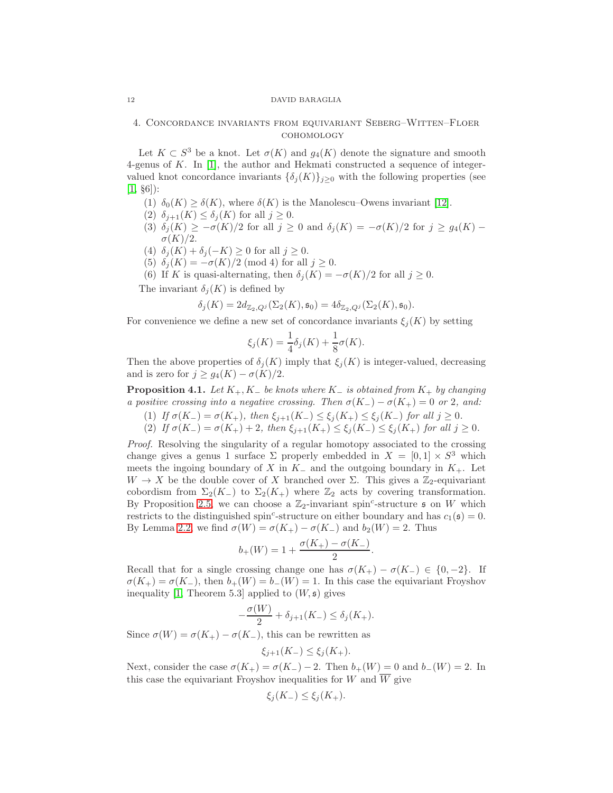## 4. Concordance invariants from equivariant Seberg–Witten–Floer cohomology

Let  $K \subset S^3$  be a knot. Let  $\sigma(K)$  and  $g_4(K)$  denote the signature and smooth 4-genus of K. In [\[1\]](#page-23-0), the author and Hekmati constructed a sequence of integervalued knot concordance invariants  $\{\delta_j(K)\}_{j\geq 0}$  with the following properties (see  $[1, §6]$  $[1, §6]$ :

- (1)  $\delta_0(K) \geq \delta(K)$ , where  $\delta(K)$  is the Manolescu–Owens invariant [\[12\]](#page-23-1).
- (2)  $\delta_{j+1}(K) \leq \delta_j(K)$  for all  $j \geq 0$ .
- (3)  $\delta_j(K) \geq -\sigma(K)/2$  for all  $j \geq 0$  and  $\delta_j(K) = -\sigma(K)/2$  for  $j \geq g_4(K)$   $\sigma(K)/2$ .
- (4)  $\delta_i(K) + \delta_j(-K) \geq 0$  for all  $j \geq 0$ .
- (5)  $\delta_i(K) = -\sigma(K)/2 \pmod{4}$  for all  $j \geq 0$ .
- (6) If K is quasi-alternating, then  $\delta_j(K) = -\sigma(K)/2$  for all  $j \geq 0$ .

The invariant  $\delta_i(K)$  is defined by

$$
\delta_j(K) = 2d_{\mathbb{Z}_2, Q^j}(\Sigma_2(K), \mathfrak{s}_0) = 4\delta_{\mathbb{Z}_2, Q^j}(\Sigma_2(K), \mathfrak{s}_0).
$$

For convenience we define a new set of concordance invariants  $\xi_j(K)$  by setting

$$
\xi_j(K) = \frac{1}{4}\delta_j(K) + \frac{1}{8}\sigma(K).
$$

Then the above properties of  $\delta_i(K)$  imply that  $\xi_i(K)$  is integer-valued, decreasing and is zero for  $j \geq g_4(K) - \sigma(K)/2$ .

<span id="page-11-1"></span>**Proposition 4.1.** Let  $K_+$ ,  $K_-$  be knots where  $K_-$  is obtained from  $K_+$  by changing a positive crossing into a negative crossing. Then  $\sigma(K_-) - \sigma(K_+) = 0$  or 2, and:

- (1) If  $\sigma(K_{-}) = \sigma(K_{+})$ , then  $\xi_{j+1}(K_{-}) \leq \xi_j(K_{+}) \leq \xi_j(K_{-})$  for all  $j \geq 0$ .
- (2) If  $\sigma(K_{-}) = \sigma(K_{+}) + 2$ , then  $\xi_{j+1}(K_{+}) \leq \xi_j(K_{-}) \leq \xi_j(K_{+})$  for all  $j \geq 0$ .

Proof. Resolving the singularity of a regular homotopy associated to the crossing change gives a genus 1 surface  $\Sigma$  properly embedded in  $X = [0,1] \times S^3$  which meets the ingoing boundary of X in  $K_-\,$  and the outgoing boundary in  $K_+$ . Let  $W \to X$  be the double cover of X branched over  $\Sigma$ . This gives a  $\mathbb{Z}_2$ -equivariant cobordism from  $\Sigma_2(K_-)$  to  $\Sigma_2(K_+)$  where  $\mathbb{Z}_2$  acts by covering transformation. By Proposition [2.5,](#page-8-0) we can choose a  $\mathbb{Z}_2$ -invariant spin<sup>c</sup>-structure  $\mathfrak s$  on W which restricts to the distinguished spin<sup>c</sup>-structure on either boundary and has  $c_1(\mathfrak{s}) = 0$ . By Lemma [2.2,](#page-4-0) we find  $\sigma(W) = \sigma(K_+) - \sigma(K_-)$  and  $b_2(W) = 2$ . Thus

$$
b_{+}(W) = 1 + \frac{\sigma(K_{+}) - \sigma(K_{-})}{2}.
$$

Recall that for a single crossing change one has  $\sigma(K_{+}) - \sigma(K_{-}) \in \{0, -2\}$ . If  $\sigma(K_+) = \sigma(K_-)$ , then  $b_+(W) = b_-(W) = 1$ . In this case the equivariant Froyshov inequality [\[1,](#page-23-0) Theorem 5.3] applied to  $(W, \mathfrak{s})$  gives

$$
-\frac{\sigma(W)}{2} + \delta_{j+1}(K_-) \le \delta_j(K_+).
$$

Since  $\sigma(W) = \sigma(K_+) - \sigma(K_-)$ , this can be rewritten as

$$
\xi_{j+1}(K_-) \leq \xi_j(K_+).
$$

Next, consider the case  $\sigma(K_+) = \sigma(K_-) - 2$ . Then  $b_+(W) = 0$  and  $b_-(W) = 2$ . In this case the equivariant Froyshov inequalities for W and  $\overline{W}$  give

$$
\xi_j(K_-) \le \xi_j(K_+).
$$

<span id="page-11-0"></span>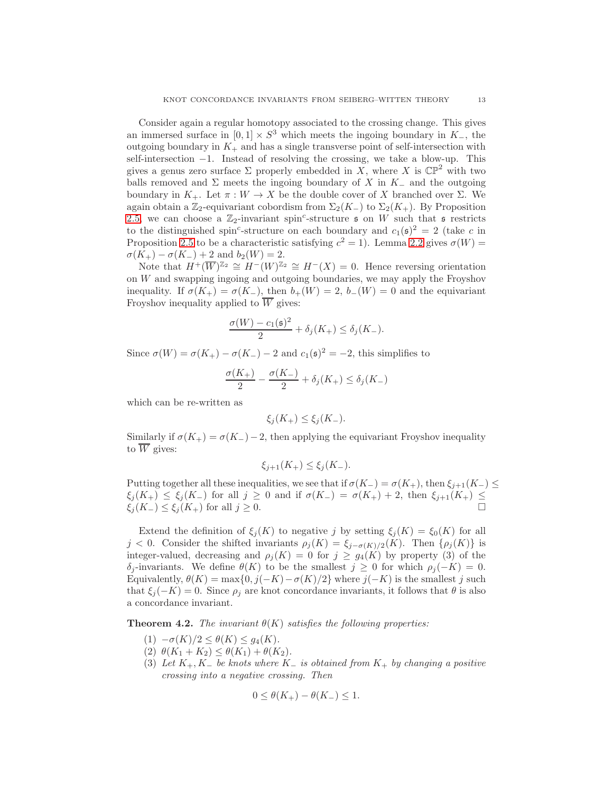Consider again a regular homotopy associated to the crossing change. This gives an immersed surface in  $[0, 1] \times S^3$  which meets the ingoing boundary in K<sub>-</sub>, the outgoing boundary in  $K_{+}$  and has a single transverse point of self-intersection with self-intersection −1. Instead of resolving the crossing, we take a blow-up. This gives a genus zero surface  $\Sigma$  properly embedded in X, where X is  $\mathbb{CP}^2$  with two balls removed and  $\Sigma$  meets the ingoing boundary of X in K<sub>−</sub> and the outgoing boundary in  $K_+$ . Let  $\pi : W \to X$  be the double cover of X branched over  $\Sigma$ . We again obtain a  $\mathbb{Z}_2$ -equivariant cobordism from  $\Sigma_2(K_-)$  to  $\Sigma_2(K_+)$ . By Proposition [2.5,](#page-8-0) we can choose a  $\mathbb{Z}_2$ -invariant spin<sup>c</sup>-structure  $\mathfrak s$  on W such that  $\mathfrak s$  restricts to the distinguished spin<sup>c</sup>-structure on each boundary and  $c_1(\mathfrak{s})^2 = 2$  (take c in Proposition [2.5](#page-8-0) to be a characteristic satisfying  $c^2 = 1$ ). Lemma [2.2](#page-4-0) gives  $\sigma(W) =$  $\sigma(K_{+}) - \sigma(K_{-}) + 2$  and  $b_2(W) = 2$ .

Note that  $H^+(\overline{W})^{\mathbb{Z}_2} \cong H^-(W)^{\mathbb{Z}_2} \cong H^-(X) = 0$ . Hence reversing orientation on W and swapping ingoing and outgoing boundaries, we may apply the Froyshov inequality. If  $\sigma(K_+) = \sigma(K_-)$ , then  $b_+(W) = 2$ ,  $b_-(W) = 0$  and the equivariant Froyshov inequality applied to  $\overline{W}$  gives:

$$
\frac{\sigma(W) - c_1(\mathfrak{s})^2}{2} + \delta_j(K_+) \le \delta_j(K_-).
$$

Since  $\sigma(W) = \sigma(K_+) - \sigma(K_-) - 2$  and  $c_1(\mathfrak{s})^2 = -2$ , this simplifies to

$$
\frac{\sigma(K_+)}{2} - \frac{\sigma(K_-)}{2} + \delta_j(K_+) \le \delta_j(K_-)
$$

which can be re-written as

$$
\xi_j(K_+) \leq \xi_j(K_-).
$$

Similarly if  $\sigma(K_+) = \sigma(K_-) - 2$ , then applying the equivariant Froyshov inequality to  $\overline{W}$  gives:

$$
\xi_{j+1}(K_+) \le \xi_j(K_-).
$$

Putting together all these inequalities, we see that if  $\sigma(K_{-}) = \sigma(K_{+})$ , then  $\xi_{j+1}(K_{-}) \leq$  $\xi_j(K_+) \leq \xi_j(K_-)$  for all  $j \geq 0$  and if  $\sigma(K_-) = \sigma(K_+) + 2$ , then  $\xi_{j+1}(K_+) \leq$  $\xi_j(K_-) \leq \xi_j(K_+)$  for all  $j \geq 0$ .

Extend the definition of  $\xi_i(K)$  to negative j by setting  $\xi_i(K) = \xi_0(K)$  for all j < 0. Consider the shifted invariants  $\rho_j(K) = \xi_{j-\sigma(K)/2}(K)$ . Then  $\{\rho_j(K)\}\$ is integer-valued, decreasing and  $\rho_j(K) = 0$  for  $j \geq g_4(K)$  by property (3) of the  $\delta_i$ -invariants. We define  $\theta(K)$  to be the smallest  $j \geq 0$  for which  $\rho_i(-K) = 0$ . Equivalently,  $\theta(K) = \max\{0, j(-K) - \sigma(K)/2\}$  where  $j(-K)$  is the smallest j such that  $\xi_i(-K) = 0$ . Since  $\rho_i$  are knot concordance invariants, it follows that  $\theta$  is also a concordance invariant.

<span id="page-12-0"></span>**Theorem 4.2.** The invariant  $\theta(K)$  satisfies the following properties:

- $(1)$   $-\sigma(K)/2 \leq \theta(K) \leq g_4(K)$ .
- (2)  $\theta(K_1 + K_2) \leq \theta(K_1) + \theta(K_2)$ .
- (3) Let  $K_+$ ,  $K_-\,$  be knots where  $K_-\,$  is obtained from  $K_+\,$  by changing a positive crossing into a negative crossing. Then

$$
0 \le \theta(K_+) - \theta(K_-) \le 1.
$$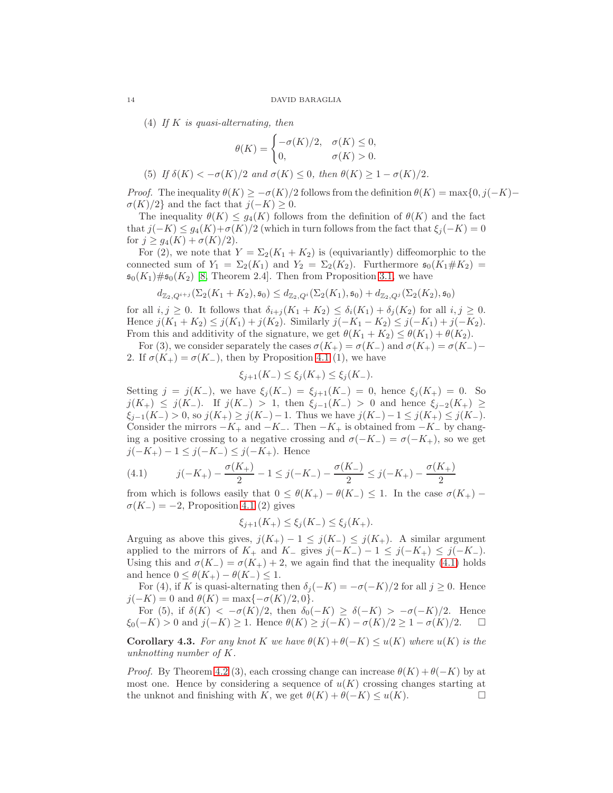(4) If K is quasi-alternating, then

$$
\theta(K) = \begin{cases}\n-\sigma(K)/2, & \sigma(K) \leq 0, \\
0, & \sigma(K) > 0.\n\end{cases}
$$

(5) If  $\delta(K) < -\sigma(K)/2$  and  $\sigma(K) \leq 0$ , then  $\theta(K) \geq 1 - \sigma(K)/2$ .

*Proof.* The inequality  $\theta(K) \geq -\sigma(K)/2$  follows from the definition  $\theta(K) = \max\{0, j(-K) \sigma(K)/2$ } and the fact that  $j(-K) \geq 0$ .

The inequality  $\theta(K) \leq g_4(K)$  follows from the definition of  $\theta(K)$  and the fact that  $j(-K) \leq g_4(K) + \sigma(K)/2$  (which in turn follows from the fact that  $\xi_i(-K) = 0$ for  $j \geq g_4(K) + \sigma(K)/2$ .

For (2), we note that  $Y = \Sigma_2(K_1 + K_2)$  is (equivariantly) diffeomorphic to the connected sum of  $Y_1 = \Sigma_2(K_1)$  and  $Y_2 = \Sigma_2(K_2)$ . Furthermore  $\mathfrak{s}_0(K_1 \# K_2)$  $\mathfrak{s}_0(K_1)\# \mathfrak{s}_0(K_2)$  [\[8,](#page-23-10) Theorem 2.4]. Then from Proposition [3.1,](#page-10-1) we have

$$
d_{\mathbb{Z}_2,Q^{i+j}}(\Sigma_2(K_1+K_2),\mathfrak{s}_0) \leq d_{\mathbb{Z}_2,Q^{i}}(\Sigma_2(K_1),\mathfrak{s}_0) + d_{\mathbb{Z}_2,Q^{j}}(\Sigma_2(K_2),\mathfrak{s}_0)
$$

for all  $i, j \geq 0$ . It follows that  $\delta_{i+j}(K_1 + K_2) \leq \delta_i(K_1) + \delta_j(K_2)$  for all  $i, j \geq 0$ . Hence  $j(K_1 + K_2) \le j(K_1) + j(K_2)$ . Similarly  $j(-K_1 - K_2) \le j(-K_1) + j(-K_2)$ . From this and additivity of the signature, we get  $\theta(K_1 + K_2) \leq \theta(K_1) + \theta(K_2)$ .

For (3), we consider separately the cases  $\sigma(K_+) = \sigma(K_-)$  and  $\sigma(K_+) = \sigma(K_-)$ 2. If  $\sigma(K_+) = \sigma(K_-)$ , then by Proposition [4.1](#page-11-1) (1), we have

$$
\xi_{j+1}(K_{-}) \leq \xi_{j}(K_{+}) \leq \xi_{j}(K_{-}).
$$

Setting  $j = j(K_{-})$ , we have  $\xi_i(K_{-}) = \xi_{i+1}(K_{-}) = 0$ , hence  $\xi_i(K_{+}) = 0$ . So  $j(K_+)$  ≤  $j(K_-)$ . If  $j(K_-) > 1$ , then  $\xi_{j-1}(K_-) > 0$  and hence  $\xi_{j-2}(K_+)$  ≥  $\xi_{j-1}(K_{-}) > 0$ , so  $j(K_{+}) \geq j(K_{-})-1$ . Thus we have  $j(K_{-})-1 \leq j(K_{+}) \leq j(K_{-})$ . Consider the mirrors  $-K_+$  and  $-K_-$ . Then  $-K_+$  is obtained from  $-K_-$  by changing a positive crossing to a negative crossing and  $\sigma(-K_{-}) = \sigma(-K_{+})$ , so we get  $j(-K_+) - 1 \leq j(-K_-) \leq j(-K_+).$  Hence

<span id="page-13-0"></span>(4.1) 
$$
j(-K_{+}) - \frac{\sigma(K_{+})}{2} - 1 \leq j(-K_{-}) - \frac{\sigma(K_{-})}{2} \leq j(-K_{+}) - \frac{\sigma(K_{+})}{2}
$$

from which is follows easily that  $0 \leq \theta(K_+) - \theta(K_-) \leq 1$ . In the case  $\sigma(K_+) \sigma(K_{-}) = -2$ , Proposition [4.1](#page-11-1) (2) gives

$$
\xi_{j+1}(K_+) \le \xi_j(K_-) \le \xi_j(K_+).
$$

Arguing as above this gives,  $j(K_{+}) - 1 \leq j(K_{-}) \leq j(K_{+})$ . A similar argument applied to the mirrors of  $K_+$  and  $K_-$  gives  $j(-K_-) - 1 \leq j(-K_+) \leq j(-K_-)$ . Using this and  $\sigma(K_{-}) = \sigma(K_{+}) + 2$ , we again find that the inequality [\(4.1\)](#page-13-0) holds and hence  $0 \leq \theta(K_+) - \theta(K_-) \leq 1$ .

For (4), if K is quasi-alternating then  $\delta_j(-K) = -\sigma(-K)/2$  for all  $j \geq 0$ . Hence  $j(-K) = 0$  and  $\theta(K) = \max\{-\sigma(K)/2, 0\}.$ 

For (5), if  $\delta(K) < -\sigma(K)/2$ , then  $\delta_0(-K) \geq \delta(-K) > -\sigma(-K)/2$ . Hence  $\xi_0(-K) > 0$  and  $j(-K) \ge 1$ . Hence  $\theta(K) \ge j(-K) - \sigma(K)/2 \ge 1 - \sigma(K)/2$ .  $\Box$ 

<span id="page-13-1"></span>**Corollary 4.3.** For any knot K we have  $\theta(K) + \theta(-K) \le u(K)$  where  $u(K)$  is the unknotting number of K.

*Proof.* By Theorem [4.2](#page-12-0) (3), each crossing change can increase  $\theta(K) + \theta(-K)$  by at most one. Hence by considering a sequence of  $u(K)$  crossing changes starting at the unknot and finishing with K, we get  $\theta(K) + \theta(-K) \leq u(K)$ .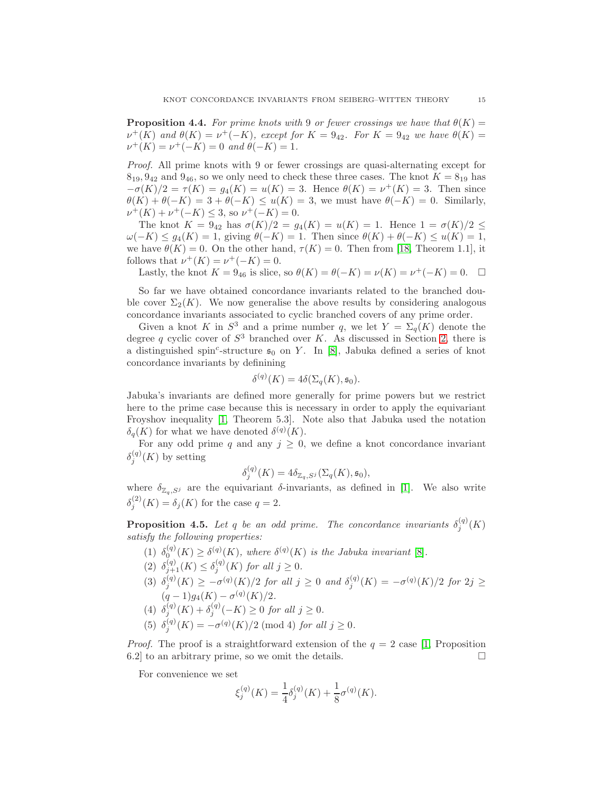**Proposition 4.4.** For prime knots with 9 or fewer crossings we have that  $\theta(K)$  =  $\nu^+(K)$  and  $\theta(K) = \nu^+(-K)$ , except for  $K = 9_{42}$ . For  $K = 9_{42}$  we have  $\theta(K) =$  $\nu^+(K) = \nu^+(-K) = 0$  and  $\theta(-K) = 1$ .

Proof. All prime knots with 9 or fewer crossings are quasi-alternating except for  $8_{19}$ ,  $9_{42}$  and  $9_{46}$ , so we only need to check these three cases. The knot  $K = 8_{19}$  has  $-\sigma(K)/2 = \tau(K) = g_4(K) = u(K) = 3$ . Hence  $\theta(K) = v^+(K) = 3$ . Then since  $\theta(K) + \theta(-K) = 3 + \theta(-K) \leq u(K) = 3$ , we must have  $\theta(-K) = 0$ . Similarly,  $\nu^+(K) + \nu^+(-K) \leq 3$ , so  $\nu^+(-K) = 0$ .

The knot  $K = 9_{42}$  has  $\sigma(K)/2 = g_4(K) = u(K) = 1$ . Hence  $1 = \sigma(K)/2 \le$  $\omega(-K) \leq g_4(K) = 1$ , giving  $\theta(-K) = 1$ . Then since  $\theta(K) + \theta(-K) \leq u(K) = 1$ , we have  $\theta(K) = 0$ . On the other hand,  $\tau(K) = 0$ . Then from [\[18,](#page-24-1) Theorem 1.1], it follows that  $\nu^+(K) = \nu^+(-K) = 0$ .

Lastly, the knot  $K = 9_{46}$  is slice, so  $\theta(K) = \theta(-K) = \nu(K) = \nu^+(-K) = 0$ .  $\Box$ 

So far we have obtained concordance invariants related to the branched double cover  $\Sigma_2(K)$ . We now generalise the above results by considering analogous concordance invariants associated to cyclic branched covers of any prime order.

Given a knot K in  $S^3$  and a prime number q, we let  $Y = \Sigma_q(K)$  denote the degree q cyclic cover of  $S^3$  branched over K. As discussed in Section [2,](#page-2-1) there is a distinguished spin<sup>c</sup>-structure  $\mathfrak{s}_0$  on Y. In [\[8\]](#page-23-10), Jabuka defined a series of knot concordance invariants by definining

$$
\delta^{(q)}(K) = 4\delta(\Sigma_q(K), \mathfrak{s}_0).
$$

Jabuka's invariants are defined more generally for prime powers but we restrict here to the prime case because this is necessary in order to apply the equivariant Froyshov inequality [\[1,](#page-23-0) Theorem 5.3]. Note also that Jabuka used the notation  $\delta_q(K)$  for what we have denoted  $\delta^{(q)}(K)$ .

For any odd prime q and any  $j \geq 0$ , we define a knot concordance invariant  $\delta_j^{(q)}(K)$  by setting

$$
\delta_j^{(q)}(K) = 4 \delta_{\mathbb{Z}_q, S^j}(\Sigma_q(K), \mathfrak{s}_0),
$$

where  $\delta_{\mathbb{Z}_q,S^j}$  are the equivariant  $\delta$ -invariants, as defined in [\[1\]](#page-23-0). We also write  $\delta^{(2)}_i$  $j_j^{(2)}(K) = \delta_j(K)$  for the case  $q = 2$ .

**Proposition 4.5.** Let q be an odd prime. The concordance invariants  $\delta_i^{(q)}$  $j^{(q)}(K)$ satisfy the following properties:

- (1)  $\delta_0^{(q)}(K) \geq \delta^{(q)}(K)$ , where  $\delta^{(q)}(K)$  is the Jabuka invariant [\[8\]](#page-23-10).
- (2)  $\delta_{j+1}^{(q)}(K) \leq \delta_j^{(q)}(K)$  for all  $j \geq 0$ .
- (3)  $\delta_j^{(q)}(K) \geq -\sigma^{(q)}(K)/2$  for all  $j \geq 0$  and  $\delta_j^{(q)}(K) = -\sigma^{(q)}(K)/2$  for  $2j \geq$  $(q-1)g_4(K) - \sigma^{(q)}(K)/2.$
- (4)  $\delta_j^{(q)}(K) + \delta_j^{(q)}(-K) \ge 0$  for all  $j \ge 0$ .
- $(5)$   $\delta_i^{(q)}$  $j_j^{(q)}(K) = -\sigma^{(q)}(K)/2 \pmod{4}$  for all  $j \ge 0$ .

*Proof.* The proof is a straightforward extension of the  $q = 2$  case [\[1,](#page-23-0) Proposition 6.2] to an arbitrary prime, so we omit the details.  $\square$ 

For convenience we set

$$
\xi_j^{(q)}(K) = \frac{1}{4}\delta_j^{(q)}(K) + \frac{1}{8}\sigma^{(q)}(K).
$$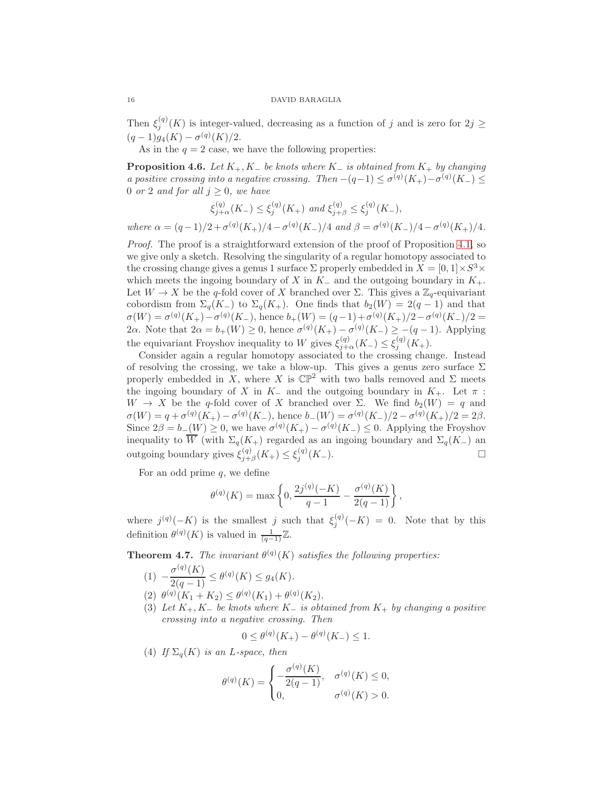Then  $\xi_j^{(q)}(K)$  is integer-valued, decreasing as a function of j and is zero for  $2j \geq$  $(q-1)g_4(K) - \sigma^{(q)}(K)/2.$ 

As in the  $q = 2$  case, we have the following properties:

<span id="page-15-0"></span>**Proposition 4.6.** Let  $K_+$ ,  $K_-$  be knots where  $K_-$  is obtained from  $K_+$  by changing a positive crossing into a negative crossing. Then  $-(q-1) \leq \sigma^{(q)}(K_+) - \sigma^{(q)}(K_-) \leq$ 0 or 2 and for all  $j \geq 0$ , we have

$$
\xi_{j+\alpha}^{(q)}(K_{-}) \leq \xi_{j}^{(q)}(K_{+}) \text{ and } \xi_{j+\beta}^{(q)} \leq \xi_{j}^{(q)}(K_{-}),
$$

where  $\alpha = (q-1)/2 + \sigma^{(q)}(K_+)/4 - \sigma^{(q)}(K_-)/4$  and  $\beta = \sigma^{(q)}(K_-)/4 - \sigma^{(q)}(K_+)/4$ .

Proof. The proof is a straightforward extension of the proof of Proposition [4.1,](#page-11-1) so we give only a sketch. Resolving the singularity of a regular homotopy associated to the crossing change gives a genus 1 surface  $\Sigma$  properly embedded in  $X = [0, 1] \times S^3 \times$ which meets the ingoing boundary of X in  $K_-\,$  and the outgoing boundary in  $K_+$ . Let  $W \to X$  be the q-fold cover of X branched over  $\Sigma$ . This gives a  $\mathbb{Z}_q$ -equivariant cobordism from  $\Sigma_q(K_-)$  to  $\Sigma_q(K_+)$ . One finds that  $b_2(W) = 2(q-1)$  and that  $\sigma(W) = \sigma^{(q)}(K_{+}) - \sigma^{(q)}(K_{-})$ , hence  $b_{+}(W) = (q-1) + \sigma^{(q)}(K_{+})/2 - \sigma^{(q)}(K_{-})/2 =$ 2α. Note that  $2\alpha = b_{+}(W) \geq 0$ , hence  $\sigma^{(q)}(K_{+}) - \sigma^{(q)}(K_{-}) \geq -(q-1)$ . Applying the equivariant Froyshov inequality to W gives  $\xi_{j+\alpha}^{(q)}(K_{-}) \leq \xi_{j}^{(q)}(K_{+})$ .

Consider again a regular homotopy associated to the crossing change. Instead of resolving the crossing, we take a blow-up. This gives a genus zero surface  $\Sigma$ properly embedded in X, where X is  $\mathbb{CP}^2$  with two balls removed and  $\Sigma$  meets the ingoing boundary of X in K<sub>-</sub> and the outgoing boundary in K<sub>+</sub>. Let  $\pi$ :  $W \to X$  be the q-fold cover of X branched over  $\Sigma$ . We find  $b_2(W) = q$  and  $\sigma(W) = q + \sigma^{(q)}(K_+) - \sigma^{(q)}(K_-),$  hence  $b_-(W) = \sigma^{(q)}(K_-)/2 - \sigma^{(q)}(K_+)/2 = 2\beta.$ Since  $2\beta = b_{-}(W) \geq 0$ , we have  $\sigma^{(q)}(K_{+}) - \sigma^{(q)}(K_{-}) \leq 0$ . Applying the Froyshov inequality to  $\overline{W}$  (with  $\Sigma_q(K_+)$  regarded as an ingoing boundary and  $\Sigma_q(K_-)$  an outgoing boundary gives  $\xi_{i+1}^{(q)}$  $\zeta_{j+\beta}^{(q)}(K_{+}) \leq \xi_{j}^{(q)}(K_{-}).$ 

For an odd prime  $q$ , we define

$$
\theta^{(q)}(K) = \max\left\{0, \frac{2j^{(q)}(-K)}{q-1} - \frac{\sigma^{(q)}(K)}{2(q-1)}\right\},\,
$$

where  $j^{(q)}(-K)$  is the smallest j such that  $\xi_j^{(q)}(-K) = 0$ . Note that by this definition  $\theta^{(q)}(K)$  is valued in  $\frac{1}{(q-1)}\mathbb{Z}$ .

**Theorem 4.7.** The invariant  $\theta^{(q)}(K)$  satisfies the following properties:

- $(1)$   $-\frac{\sigma^{(q)}(K)}{2(q-1)} \leq \theta^{(q)}(K) \leq g_4(K).$
- (2)  $\theta^{(q)}(K_1 + K_2) \leq \theta^{(q)}(K_1) + \theta^{(q)}(K_2).$
- (3) Let  $K_+$ ,  $K_-$  be knots where  $K_-$  is obtained from  $K_+$  by changing a positive crossing into a negative crossing. Then

$$
0 \le \theta^{(q)}(K_+) - \theta^{(q)}(K_-) \le 1.
$$

(4) If  $\Sigma_q(K)$  is an L-space, then

$$
\theta^{(q)}(K) = \begin{cases} -\frac{\sigma^{(q)}(K)}{2(q-1)}, & \sigma^{(q)}(K) \le 0, \\ 0, & \sigma^{(q)}(K) > 0. \end{cases}
$$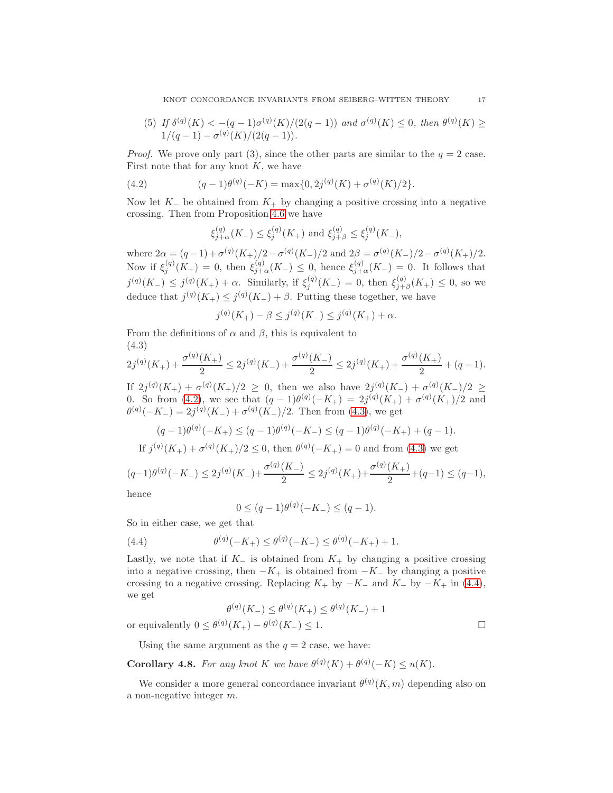(5) If  $\delta^{(q)}(K) < -(q-1)\sigma^{(q)}(K)/(2(q-1))$  and  $\sigma^{(q)}(K) \leq 0$ , then  $\theta^{(q)}(K) \geq 0$  $1/(q-1)-\sigma^{(q)}(K)/(2(q-1)).$ 

*Proof.* We prove only part (3), since the other parts are similar to the  $q = 2$  case. First note that for any knot  $K$ , we have

(4.2) 
$$
(q-1)\theta^{(q)}(-K) = \max\{0, 2j^{(q)}(K) + \sigma^{(q)}(K)/2\}.
$$

Now let  $K_-\,$  be obtained from  $K_+$  by changing a positive crossing into a negative crossing. Then from Proposition [4.6](#page-15-0) we have

<span id="page-16-0"></span>
$$
\xi_{j+\alpha}^{(q)}(K_{-}) \leq \xi_{j}^{(q)}(K_{+})
$$
 and  $\xi_{j+\beta}^{(q)} \leq \xi_{j}^{(q)}(K_{-}),$ 

where  $2\alpha = (q-1) + \sigma^{(q)}(K_+)/2 - \sigma^{(q)}(K_-)/2$  and  $2\beta = \sigma^{(q)}(K_-)/2 - \sigma^{(q)}(K_+)/2$ . Now if  $\xi_j^{(q)}(K_+) = 0$ , then  $\xi_{j+\alpha}^{(q)}(K_-) \leq 0$ , hence  $\xi_{j+\alpha}^{(q)}(K_-) = 0$ . It follows that  $j^{(q)}(K_{-}) \leq j^{(q)}(K_{+}) + \alpha$ . Similarly, if  $\xi_j^{(q)}(K_{-}) = 0$ , then  $\xi_{j+}^{(q)}$  $j_{+\beta}^{(q)}(K_+) \leq 0$ , so we deduce that  $j^{(q)}(K_+) \leq j^{(q)}(K_-) + \beta$ . Putting these together, we have

$$
j^{(q)}(K_{+}) - \beta \le j^{(q)}(K_{-}) \le j^{(q)}(K_{+}) + \alpha.
$$

From the definitions of  $\alpha$  and  $\beta$ , this is equivalent to (4.3)

<span id="page-16-1"></span>
$$
2j^{(q)}(K_+) + \frac{\sigma^{(q)}(K_+)}{2} \le 2j^{(q)}(K_-) + \frac{\sigma^{(q)}(K_-)}{2} \le 2j^{(q)}(K_+) + \frac{\sigma^{(q)}(K_+)}{2} + (q-1).
$$

If  $2j^{(q)}(K_{+}) + \sigma^{(q)}(K_{+})/2 \geq 0$ , then we also have  $2j^{(q)}(K_{-}) + \sigma^{(q)}(K_{-})/2 \geq$ 0. So from [\(4.2\)](#page-16-0), we see that  $(q-1)\theta^{(q)}(-K_+) = 2j^{(q)}(K_+) + \sigma^{(q)}(K_+)/2$  and  $\theta^{(q)}(-K_{-}) = 2j^{(q)}(K_{-}) + \sigma^{(q)}(K_{-})/2$ . Then from [\(4.3\)](#page-16-1), we get

$$
(q-1)\theta^{(q)}(-K_+) \le (q-1)\theta^{(q)}(-K_-) \le (q-1)\theta^{(q)}(-K_+) + (q-1).
$$

If 
$$
j^{(q)}(K_+) + \sigma^{(q)}(K_+)/2 \le 0
$$
, then  $\theta^{(q)}(-K_+) = 0$  and from (4.3) we get

$$
(q-1)\theta^{(q)}(-K_{-}) \le 2j^{(q)}(K_{-}) + \frac{\sigma^{(q)}(K_{-})}{2} \le 2j^{(q)}(K_{+}) + \frac{\sigma^{(q)}(K_{+})}{2} + (q-1) \le (q-1),
$$

hence

<span id="page-16-2"></span>
$$
0 \le (q-1)\theta^{(q)}(-K_{-}) \le (q-1).
$$

So in either case, we get that

(4.4) 
$$
\theta^{(q)}(-K_+) \leq \theta^{(q)}(-K_-) \leq \theta^{(q)}(-K_+) + 1.
$$

Lastly, we note that if  $K_-\$  is obtained from  $K_+$  by changing a positive crossing into a negative crossing, then  $-K_+$  is obtained from  $-K_-$  by changing a positive crossing to a negative crossing. Replacing  $K_+$  by  $-K_-$  and  $K_-$  by  $-K_+$  in [\(4.4\)](#page-16-2), we get

$$
\theta^{(q)}(K_{-}) \leq \theta^{(q)}(K_{+}) \leq \theta^{(q)}(K_{-}) + 1
$$
  
or equivalently  $0 \leq \theta^{(q)}(K_{+}) - \theta^{(q)}(K_{-}) \leq 1$ .

Using the same argument as the  $q = 2$  case, we have:

**Corollary 4.8.** For any knot K we have  $\theta^{(q)}(K) + \theta^{(q)}(-K) \le u(K)$ .

We consider a more general concordance invariant  $\theta^{(q)}(K,m)$  depending also on a non-negative integer m.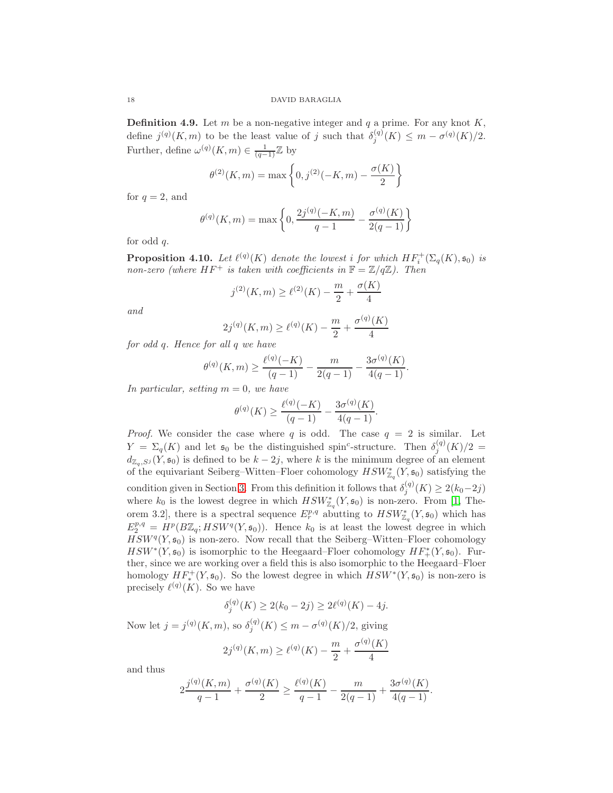**Definition 4.9.** Let m be a non-negative integer and q a prime. For any knot  $K$ , define  $j^{(q)}(K, m)$  to be the least value of j such that  $\delta_j^{(q)}(K) \leq m - \sigma^{(q)}(K)/2$ . Further, define  $\omega^{(q)}(K,m) \in \frac{1}{(q-1)}\mathbb{Z}$  by

$$
\theta^{(2)}(K,m) = \max\left\{0, j^{(2)}(-K,m) - \frac{\sigma(K)}{2}\right\}
$$

for  $q = 2$ , and

$$
\theta^{(q)}(K,m) = \max\left\{0, \frac{2j^{(q)}(-K,m)}{q-1} - \frac{\sigma^{(q)}(K)}{2(q-1)}\right\}
$$

for odd q.

<span id="page-17-0"></span>**Proposition 4.10.** Let  $\ell^{(q)}(K)$  denote the lowest i for which  $HF_i^+(\Sigma_q(K), \mathfrak{s}_0)$  is non-zero (where  $HF^+$  is taken with coefficients in  $\mathbb{F} = \mathbb{Z}/q\mathbb{Z}$ ). Then

$$
j^{(2)}(K,m) \ge \ell^{(2)}(K) - \frac{m}{2} + \frac{\sigma(K)}{4}
$$

and

$$
2j^{(q)}(K,m) \ge \ell^{(q)}(K) - \frac{m}{2} + \frac{\sigma^{(q)}(K)}{4}
$$

for odd q. Hence for all q we have

$$
\theta^{(q)}(K,m) \ge \frac{\ell^{(q)}(-K)}{(q-1)} - \frac{m}{2(q-1)} - \frac{3\sigma^{(q)}(K)}{4(q-1)}.
$$

In particular, setting  $m = 0$ , we have

$$
\theta^{(q)}(K) \ge \frac{\ell^{(q)}(-K)}{(q-1)} - \frac{3\sigma^{(q)}(K)}{4(q-1)}.
$$

*Proof.* We consider the case where q is odd. The case  $q = 2$  is similar. Let  $Y = \Sigma_q(K)$  and let  $\mathfrak{s}_0$  be the distinguished spin<sup>c</sup>-structure. Then  $\delta_i^{(q)}$  $j^{(q)}(K)/2 =$  $d_{\mathbb{Z}_q,S^j}(Y, \mathfrak{s}_0)$  is defined to be  $k-2j$ , where k is the minimum degree of an element of the equivariant Seiberg–Witten–Floer cohomology  $HSW^*_{\mathbb{Z}_q}(Y, \mathfrak{s}_0)$  satisfying the condition given in Section [3.](#page-9-0) From this definition it follows that  $\delta_i^{(q)}$  $j^{(q)}(K) \ge 2(k_0-2j)$ where  $k_0$  is the lowest degree in which  $HSW^*_{\mathbb{Z}_q}(Y, \mathfrak{s}_0)$  is non-zero. From [\[1,](#page-23-0) Theorem 3.2, there is a spectral sequence  $E_r^{p,q}$  abutting to  $HSW^*_{\mathbb{Z}_q}(Y, \mathfrak{s}_0)$  which has  $E_2^{p,q} = H^p(B\mathbb{Z}_q; HSW^q(Y, \mathfrak{s}_0)).$  Hence  $k_0$  is at least the lowest degree in which  $HSW^{q}(Y, \mathfrak{s}_{0})$  is non-zero. Now recall that the Seiberg–Witten–Floer cohomology  $HSW^*(Y, \mathfrak{s}_0)$  is isomorphic to the Heegaard–Floer cohomology  $HF^*(Y, \mathfrak{s}_0)$ . Further, since we are working over a field this is also isomorphic to the Heegaard–Floer homology  $HF_*^+(Y, \mathfrak{s}_0)$ . So the lowest degree in which  $HSW^*(Y, \mathfrak{s}_0)$  is non-zero is precisely  $\ell^{(q)}(K)$ . So we have

$$
\delta_j^{(q)}(K) \ge 2(k_0 - 2j) \ge 2\ell^{(q)}(K) - 4j.
$$
  
Now let  $j = j^{(q)}(K, m)$ , so  $\delta_j^{(q)}(K) \le m - \sigma^{(q)}(K)/2$ , giving  

$$
2j^{(q)}(K, m) \ge \ell^{(q)}(K) - \frac{m}{2} + \frac{\sigma^{(q)}(K)}{4}
$$

and thus

$$
2\frac{j^{(q)}(K,m)}{q-1} + \frac{\sigma^{(q)}(K)}{2} \ge \frac{\ell^{(q)}(K)}{q-1} - \frac{m}{2(q-1)} + \frac{3\sigma^{(q)}(K)}{4(q-1)}.
$$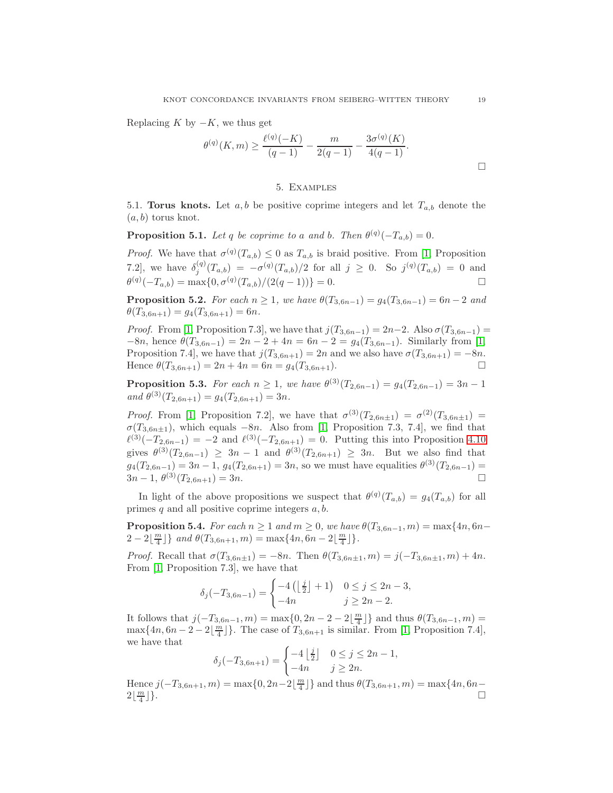Replacing K by  $-K$ , we thus get

$$
\theta^{(q)}(K,m) \ge \frac{\ell^{(q)}(-K)}{(q-1)} - \frac{m}{2(q-1)} - \frac{3\sigma^{(q)}(K)}{4(q-1)}.
$$

### 5. Examples

<span id="page-18-0"></span>5.1. Torus knots. Let  $a, b$  be positive coprime integers and let  $T_{a,b}$  denote the  $(a, b)$  torus knot.

**Proposition 5.1.** Let q be coprime to a and b. Then  $\theta^{(q)}(-T_{a,b}) = 0$ .

*Proof.* We have that  $\sigma^{(q)}(T_{a,b}) \leq 0$  as  $T_{a,b}$  is braid positive. From [\[1,](#page-23-0) Proposition 7.2], we have  $\delta_i^{(q)}$  $j_j^{(q)}(T_{a,b}) = -\sigma^{(q)}(T_{a,b})/2$  for all  $j \geq 0$ . So  $j^{(q)}(T_{a,b}) = 0$  and  $\theta^{(q)}(-T_{a,b}) = \max\{0, \sigma^{(q)}(T_{a,b})/(2(q-1))\} = 0.$ 

**Proposition 5.2.** For each  $n \ge 1$ , we have  $\theta(T_{3,6n-1}) = g_4(T_{3,6n-1}) = 6n - 2$  and  $\theta(T_{3,6n+1}) = g_4(T_{3,6n+1}) = 6n.$ 

*Proof.* From [\[1,](#page-23-0) Proposition 7.3], we have that  $j(T_{3,6n-1}) = 2n-2$ . Also  $\sigma(T_{3,6n-1}) =$  $-8n$ , hence  $\theta(T_{3,6n-1}) = 2n - 2 + 4n = 6n - 2 = g_4(T_{3,6n-1})$ . Similarly from [\[1,](#page-23-0) Proposition 7.4], we have that  $j(T_{3,6n+1}) = 2n$  and we also have  $\sigma(T_{3,6n+1}) = -8n$ . Hence  $\theta(T_{3,6n+1}) = 2n + 4n = 6n = g_4(T_{3,6n+1})$ .

**Proposition 5.3.** For each  $n \geq 1$ , we have  $\theta^{(3)}(T_{2,6n-1}) = g_4(T_{2,6n-1}) = 3n - 1$ and  $\theta^{(3)}(T_{2,6n+1}) = g_4(T_{2,6n+1}) = 3n$ .

*Proof.* From [\[1,](#page-23-0) Proposition 7.2], we have that  $\sigma^{(3)}(T_{2,6n\pm 1}) = \sigma^{(2)}(T_{3,6n\pm 1}) =$  $\sigma(T_{3,6n\pm1})$ , which equals  $-8n$ . Also from [\[1,](#page-23-0) Proposition 7.3, 7.4], we find that  $\ell^{(3)}(-T_{2,6n-1}) = -2$  and  $\ell^{(3)}(-T_{2,6n+1}) = 0$ . Putting this into Proposition [4.10](#page-17-0) gives  $\theta^{(3)}(T_{2,6n-1}) \geq 3n-1$  and  $\theta^{(3)}(T_{2,6n+1}) \geq 3n$ . But we also find that  $g_4(T_{2,6n-1}) = 3n-1, g_4(T_{2,6n+1}) = 3n$ , so we must have equalities  $\theta^{(3)}(T_{2,6n-1}) =$  $3n-1, \ \theta^{(3)}(T_{2,6n+1})=3n.$ 

In light of the above propositions we suspect that  $\theta^{(q)}(T_{a,b}) = g_4(T_{a,b})$  for all primes  $q$  and all positive coprime integers  $a, b$ .

**Proposition 5.4.** For each  $n \geq 1$  and  $m \geq 0$ , we have  $\theta(T_{3,6n-1}, m) = \max\{4n, 6n-1\}$  $2 - 2\left\lfloor \frac{m}{4} \right\rfloor$  and  $\theta(T_{3, 6n+1}, m) = \max\{4n, 6n - 2\left\lfloor \frac{m}{4} \right\rfloor\}.$ 

Proof. Recall that  $\sigma(T_{3,6n\pm 1}) = -8n$ . Then  $\theta(T_{3,6n\pm 1}, m) = j(-T_{3,6n\pm 1}, m) + 4n$ . From [\[1,](#page-23-0) Proposition 7.3], we have that

$$
\delta_j(-T_{3,6n-1}) = \begin{cases}\n-4\left(\left\lfloor \frac{j}{2} \right\rfloor + 1\right) & 0 \le j \le 2n - 3, \\
-4n & j \ge 2n - 2.\n\end{cases}
$$

It follows that  $j(-T_{3,6n-1}, m) = \max\{0, 2n-2-2\lfloor \frac{m}{4} \rfloor\}$  and thus  $\theta(T_{3,6n-1}, m) =$  $\max\{4n, 6n-2-2\lfloor\frac{m}{4}\rfloor\}$ . The case of  $T_{3,6n+1}$  is similar. From [\[1,](#page-23-0) Proposition 7.4], we have that

$$
\delta_j(-T_{3,6n+1}) = \begin{cases}\n-4\left\lfloor \frac{j}{2} \right\rfloor & 0 \le j \le 2n-1, \\
-4n & j \ge 2n.\n\end{cases}
$$

Hence  $j(-T_{3,6n+1}, m) = \max\{0, 2n-2\lfloor\frac{m}{4}\rfloor\}$  and thus  $\theta(T_{3,6n+1}, m) = \max\{4n, 6n 2\lfloor \frac{m}{4}$ ⌋}.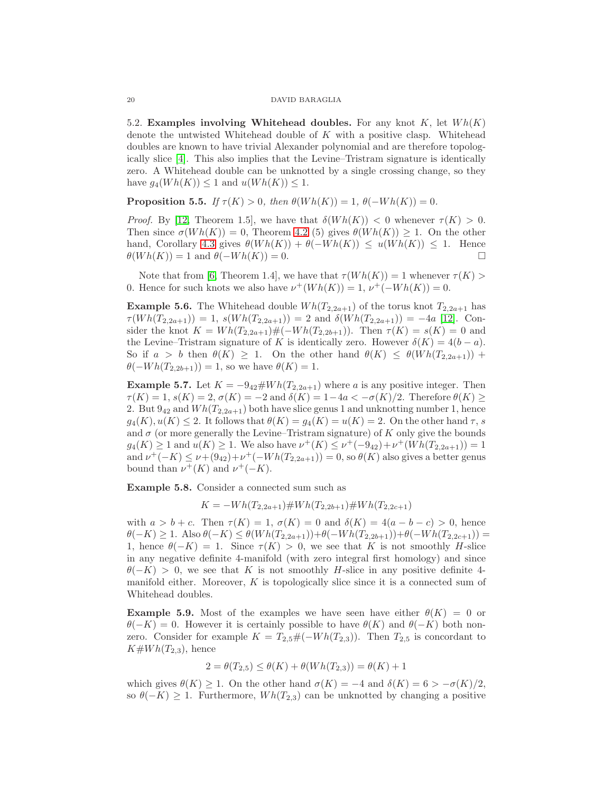5.2. Examples involving Whitehead doubles. For any knot K, let  $Wh(K)$ denote the untwisted Whitehead double of  $K$  with a positive clasp. Whitehead doubles are known to have trivial Alexander polynomial and are therefore topologically slice [\[4\]](#page-23-13). This also implies that the Levine–Tristram signature is identically zero. A Whitehead double can be unknotted by a single crossing change, so they have  $g_4(Wh(K)) \leq 1$  and  $u(Wh(K)) \leq 1$ .

**Proposition 5.5.** If  $\tau(K) > 0$ , then  $\theta(Wh(K)) = 1$ ,  $\theta(-Wh(K)) = 0$ .

*Proof.* By [\[12,](#page-23-1) Theorem 1.5], we have that  $\delta(Wh(K)) < 0$  whenever  $\tau(K) > 0$ . Then since  $\sigma(Wh(K)) = 0$ , Theorem [4.2](#page-12-0) (5) gives  $\theta(Wh(K)) \geq 1$ . On the other hand, Corollary [4.3](#page-13-1) gives  $\theta(Wh(K)) + \theta(-Wh(K)) \leq u(Wh(K)) \leq 1$ . Hence  $\theta(Wh(K)) = 1$  and  $\theta(-Wh(K)) = 0$ .

Note that from [\[6,](#page-23-14) Theorem 1.4], we have that  $\tau(W h(K)) = 1$  whenever  $\tau(K) > 1$ 0. Hence for such knots we also have  $\nu^+(Wh(K)) = 1$ ,  $\nu^+(-Wh(K)) = 0$ .

**Example 5.6.** The Whitehead double  $Wh(T_{2,2a+1})$  of the torus knot  $T_{2,2a+1}$  has  $\tau(Wh(T_{2,2a+1})) = 1$ ,  $s(Wh(T_{2,2a+1})) = 2$  and  $\delta(Wh(T_{2,2a+1})) = -4a$  [\[12\]](#page-23-1). Consider the knot  $K = Wh(T_{2,2a+1})\#(-Wh(T_{2,2b+1}))$ . Then  $\tau(K) = s(K) = 0$  and the Levine–Tristram signature of K is identically zero. However  $\delta(K) = 4(b - a)$ . So if  $a > b$  then  $\theta(K) \geq 1$ . On the other hand  $\theta(K) \leq \theta(Wh(T_{2,2a+1}))$  +  $\theta(-Wh(T_{2,2b+1})) = 1$ , so we have  $\theta(K) = 1$ .

**Example 5.7.** Let  $K = -9_{42} \# Wh(T_{2,2a+1})$  where a is any positive integer. Then  $\tau(K) = 1$ ,  $s(K) = 2$ ,  $\sigma(K) = -2$  and  $\delta(K) = 1-4a < -\sigma(K)/2$ . Therefore  $\theta(K) \ge$ 2. But  $9_{42}$  and  $Wh(T_{2,2a+1})$  both have slice genus 1 and unknotting number 1, hence  $g_4(K), u(K) \leq 2$ . It follows that  $\theta(K) = g_4(K) = u(K) = 2$ . On the other hand  $\tau$ , s and  $\sigma$  (or more generally the Levine–Tristram signature) of K only give the bounds  $g_4(K) \geq 1$  and  $u(K) \geq 1$ . We also have  $v^+(K) \leq v^+(-9_{42}) + v^+(Wh(T_{2,2a+1})) = 1$ and  $\nu^+(-K) \leq \nu + (9_{42}) + \nu^+(-Wh(T_{2,2a+1})) = 0$ , so  $\theta(K)$  also gives a better genus bound than  $\nu^+(K)$  and  $\nu^+(-K)$ .

Example 5.8. Consider a connected sum such as

 $K = -Wh(T_{2,2a+1}) \# Wh(T_{2,2b+1}) \# Wh(T_{2,2c+1})$ 

with  $a > b + c$ . Then  $\tau(K) = 1$ ,  $\sigma(K) = 0$  and  $\delta(K) = 4(a - b - c) > 0$ , hence  $\theta(-K) \geq 1.$  Also  $\theta(-K) \leq \theta(Wh(T_{2,2a+1})) + \theta(-Wh(T_{2,2b+1})) + \theta(-Wh(T_{2,2c+1})) =$ 1, hence  $\theta(-K) = 1$ . Since  $\tau(K) > 0$ , we see that K is not smoothly H-slice in any negative definite 4-manifold (with zero integral first homology) and since  $\theta(-K) > 0$ , we see that K is not smoothly H-slice in any positive definite 4manifold either. Moreover,  $K$  is topologically slice since it is a connected sum of Whitehead doubles.

**Example 5.9.** Most of the examples we have seen have either  $\theta(K) = 0$  or  $\theta(-K) = 0$ . However it is certainly possible to have  $\theta(K)$  and  $\theta(-K)$  both nonzero. Consider for example  $K = T_{2,5} \# (-Wh(T_{2,3}))$ . Then  $T_{2,5}$  is concordant to  $K\#Wh(T_{2,3}),$  hence

$$
2 = \theta(T_{2,5}) \le \theta(K) + \theta(Wh(T_{2,3})) = \theta(K) + 1
$$

which gives  $\theta(K) \geq 1$ . On the other hand  $\sigma(K) = -4$  and  $\delta(K) = 6 > -\sigma(K)/2$ , so  $\theta(-K) \geq 1$ . Furthermore,  $Wh(T_{2,3})$  can be unknotted by changing a positive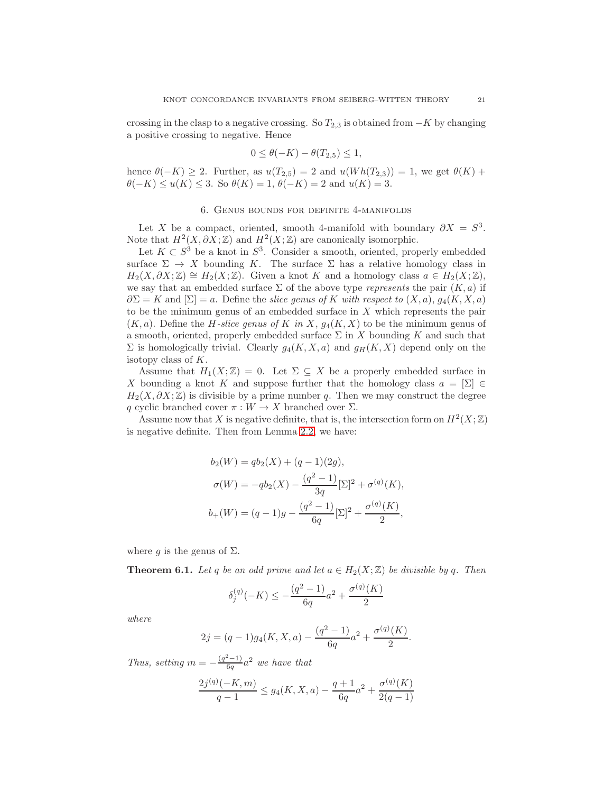crossing in the clasp to a negative crossing. So  $T_{2,3}$  is obtained from  $-K$  by changing a positive crossing to negative. Hence

$$
0 \le \theta(-K) - \theta(T_{2,5}) \le 1,
$$

<span id="page-20-0"></span>hence  $\theta(-K) \geq 2$ . Further, as  $u(T_{2,5}) = 2$  and  $u(Wh(T_{2,3})) = 1$ , we get  $\theta(K)$  +  $\theta(-K) \le u(K) \le 3$ . So  $\theta(K) = 1$ ,  $\theta(-K) = 2$  and  $u(K) = 3$ .

### 6. Genus bounds for definite 4-manifolds

Let X be a compact, oriented, smooth 4-manifold with boundary  $\partial X = S^3$ . Note that  $H^2(X, \partial X; \mathbb{Z})$  and  $H^2(X; \mathbb{Z})$  are canonically isomorphic.

Let  $K \subset S^3$  be a knot in  $S^3$ . Consider a smooth, oriented, properly embedded surface  $\Sigma \to X$  bounding K. The surface  $\Sigma$  has a relative homology class in  $H_2(X, \partial X; \mathbb{Z}) \cong H_2(X; \mathbb{Z})$ . Given a knot K and a homology class  $a \in H_2(X; \mathbb{Z})$ , we say that an embedded surface  $\Sigma$  of the above type *represents* the pair  $(K, a)$  if  $\partial \Sigma = K$  and  $[\Sigma] = a$ . Define the slice genus of K with respect to  $(X, a)$ ,  $g_4(K, X, a)$ to be the minimum genus of an embedded surface in X which represents the pair  $(K, a)$ . Define the *H*-slice genus of K in X,  $g_4(K, X)$  to be the minimum genus of a smooth, oriented, properly embedded surface  $\Sigma$  in X bounding K and such that  $\Sigma$  is homologically trivial. Clearly  $g_4(K, X, a)$  and  $g_H(K, X)$  depend only on the isotopy class of K.

Assume that  $H_1(X;\mathbb{Z})=0$ . Let  $\Sigma\subseteq X$  be a properly embedded surface in X bounding a knot K and suppose further that the homology class  $a = [\Sigma] \in$  $H_2(X, \partial X; \mathbb{Z})$  is divisible by a prime number q. Then we may construct the degree q cyclic branched cover  $\pi : W \to X$  branched over  $\Sigma$ .

Assume now that X is negative definite, that is, the intersection form on  $H^2(X;\mathbb{Z})$ is negative definite. Then from Lemma [2.2,](#page-4-0) we have:

$$
b_2(W) = qb_2(X) + (q - 1)(2g),
$$
  
\n
$$
\sigma(W) = -qb_2(X) - \frac{(q^2 - 1)}{3q}[\Sigma]^2 + \sigma^{(q)}(K),
$$
  
\n
$$
b_+(W) = (q - 1)g - \frac{(q^2 - 1)}{6q}[\Sigma]^2 + \frac{\sigma^{(q)}(K)}{2},
$$

where g is the genus of  $\Sigma$ .

<span id="page-20-1"></span>**Theorem 6.1.** Let q be an odd prime and let  $a \in H_2(X;\mathbb{Z})$  be divisible by q. Then

$$
\delta_j^{(q)}(-K) \le -\frac{(q^2-1)}{6q}a^2 + \frac{\sigma^{(q)}(K)}{2}
$$

where

$$
2j = (q-1)g_4(K, X, a) - \frac{(q^2 - 1)}{6q}a^2 + \frac{\sigma^{(q)}(K)}{2}.
$$

Thus, setting  $m = -\frac{(q^2-1)}{6q}$  $\frac{c-1}{6q}a^2$  we have that

$$
\frac{2j^{(q)}(-K,m)}{q-1} \le g_4(K,X,a) - \frac{q+1}{6q}a^2 + \frac{\sigma^{(q)}(K)}{2(q-1)}
$$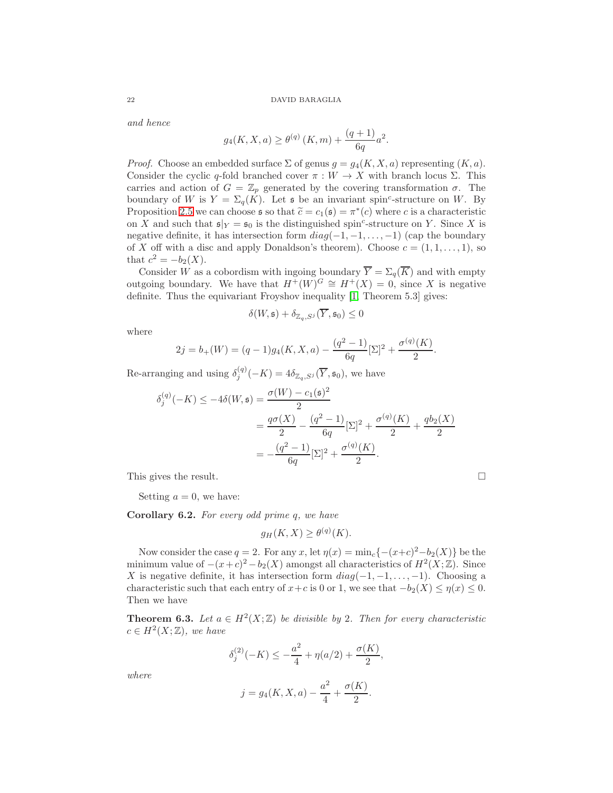and hence

$$
g_4(K, X, a) \ge \theta^{(q)}(K, m) + \frac{(q+1)}{6q}a^2.
$$

*Proof.* Choose an embedded surface  $\Sigma$  of genus  $q = q_4(K, X, a)$  representing  $(K, a)$ . Consider the cyclic q-fold branched cover  $\pi : W \to X$  with branch locus Σ. This carries and action of  $G = \mathbb{Z}_p$  generated by the covering transformation  $\sigma$ . The boundary of W is  $Y = \Sigma_q(K)$ . Let s be an invariant spin<sup>c</sup>-structure on W. By Proposition [2.5](#page-8-0) we can choose  $\mathfrak{s}$  so that  $\widetilde{c} = c_1(\mathfrak{s}) = \pi^*(c)$  where c is a characteristic on X and such that  $\mathfrak{s}|_Y = \mathfrak{s}_0$  is the distinguished spin<sup>c</sup>-structure on Y. Since X is negative definite, it has intersection form  $diag(-1, -1, \ldots, -1)$  (cap the boundary of X off with a disc and apply Donaldson's theorem). Choose  $c = (1, 1, \ldots, 1)$ , so that  $c^2 = -b_2(X)$ .

Consider W as a cobordism with ingoing boundary  $\overline{Y} = \Sigma_q(\overline{K})$  and with empty outgoing boundary. We have that  $H^+(W)^G \cong H^+(X) = 0$ , since X is negative definite. Thus the equivariant Froyshov inequality [\[1,](#page-23-0) Theorem 5.3] gives:

$$
\delta(W, \mathfrak{s}) + \delta_{\mathbb{Z}_q, S^j}(\overline{Y}, \mathfrak{s}_0) \le 0
$$

where

$$
2j = b_{+}(W) = (q-1)g_{4}(K, X, a) - \frac{(q^{2}-1)}{6q}[\Sigma]^{2} + \frac{\sigma^{(q)}(K)}{2}.
$$

Re-arranging and using  $\delta_j^{(q)}(-K) = 4 \delta_{\mathbb{Z}_q, S^j}(\overline{Y}, \mathfrak{s}_0)$ , we have

$$
\delta_j^{(q)}(-K) \le -4\delta(W, \mathfrak{s}) = \frac{\sigma(W) - c_1(\mathfrak{s})^2}{2}
$$
  
= 
$$
\frac{q\sigma(X)}{2} - \frac{(q^2 - 1)}{6q}[\Sigma]^2 + \frac{\sigma^{(q)}(K)}{2} + \frac{q b_2(X)}{2}
$$
  
= 
$$
-\frac{(q^2 - 1)}{6q}[\Sigma]^2 + \frac{\sigma^{(q)}(K)}{2}.
$$

This gives the result.

Setting  $a = 0$ , we have:

Corollary 6.2. For every odd prime q, we have

$$
g_H(K, X) \ge \theta^{(q)}(K).
$$

Now consider the case  $q = 2$ . For any x, let  $\eta(x) = \min_c \{-(x+c)^2 - b_2(X)\}\)$ e the minimum value of  $-(x+c)^2 - b_2(X)$  amongst all characteristics of  $H^2(X;\mathbb{Z})$ . Since X is negative definite, it has intersection form  $diag(-1, -1, \ldots, -1)$ . Choosing a characteristic such that each entry of  $x+c$  is 0 or 1, we see that  $-b_2(X) \leq \eta(x) \leq 0$ . Then we have

<span id="page-21-0"></span>**Theorem 6.3.** Let  $a \in H^2(X;\mathbb{Z})$  be divisible by 2. Then for every characteristic  $c \in H^2(X;\mathbb{Z})$ , we have

$$
\delta_j^{(2)}(-K) \le -\frac{a^2}{4} + \eta(a/2) + \frac{\sigma(K)}{2},
$$

where

$$
j = g_4(K, X, a) - \frac{a^2}{4} + \frac{\sigma(K)}{2}.
$$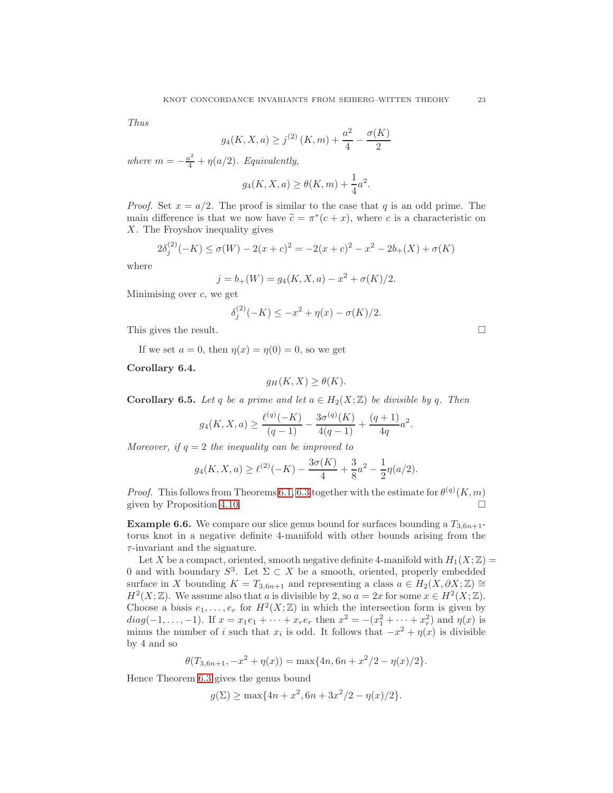Thus

$$
g_4(K, X, a) \ge j^{(2)}(K, m) + \frac{a^2}{4} - \frac{\sigma(K)}{2}
$$

where  $m = -\frac{a^2}{4} + \eta(a/2)$ . Equivalently,

$$
g_4(K, X, a) \ge \theta(K, m) + \frac{1}{4}a^2.
$$

*Proof.* Set  $x = a/2$ . The proof is similar to the case that q is an odd prime. The main difference is that we now have  $\tilde{c} = \pi^*(c + x)$ , where c is a characteristic on X. The Froyshov inequality gives

$$
2\delta_j^{(2)}(-K) \le \sigma(W) - 2(x+c)^2 = -2(x+c)^2 - x^2 - 2b_+(X) + \sigma(K)
$$

where

$$
j = b_{+}(W) = g_{4}(K, X, a) - x^{2} + \sigma(K)/2.
$$

Minimising over  $c$ , we get

$$
\delta_j^{(2)}(-K) \le -x^2 + \eta(x) - \sigma(K)/2.
$$

This gives the result.

If we set  $a = 0$ , then  $\eta(x) = \eta(0) = 0$ , so we get

Corollary 6.4.

$$
g_H(K, X) \ge \theta(K).
$$

**Corollary 6.5.** Let q be a prime and let  $a \in H_2(X;\mathbb{Z})$  be divisible by q. Then

$$
g_4(K, X, a) \ge \frac{\ell^{(q)}(-K)}{(q-1)} - \frac{3\sigma^{(q)}(K)}{4(q-1)} + \frac{(q+1)}{4q}a^2.
$$

Moreover, if  $q = 2$  the inequality can be improved to

$$
g_4(K, X, a) \ge \ell^{(2)}(-K) - \frac{3\sigma(K)}{4} + \frac{3}{8}a^2 - \frac{1}{2}\eta(a/2).
$$

*Proof.* This follows from Theorems [6.1,](#page-20-1) [6.3](#page-21-0) together with the estimate for  $\theta^{(q)}(K,m)$ given by Proposition [4.10.](#page-17-0)

**Example 6.6.** We compare our slice genus bound for surfaces bounding a  $T_{3,6n+1}$ torus knot in a negative definite 4-manifold with other bounds arising from the  $\tau$ -invariant and the signature.

Let X be a compact, oriented, smooth negative definite 4-manifold with  $H_1(X;\mathbb{Z}) =$ 0 and with boundary  $S^3$ . Let  $\Sigma \subset X$  be a smooth, oriented, properly embedded surface in X bounding  $K = T_{3,6n+1}$  and representing a class  $a \in H_2(X, \partial X; \mathbb{Z}) \cong$  $H^2(X;\mathbb{Z})$ . We assume also that a is divisible by 2, so  $a = 2x$  for some  $x \in H^2(X;\mathbb{Z})$ . Choose a basis  $e_1, \ldots, e_r$  for  $H^2(X; \mathbb{Z})$  in which the intersection form is given by  $diag(-1,...,-1)$ . If  $x = x_1e_1 + \cdots + x_re_r$  then  $x^2 = -(x_1^2 + \cdots + x_r^2)$  and  $\eta(x)$  is minus the number of i such that  $x_i$  is odd. It follows that  $-x^2 + \eta(x)$  is divisible by 4 and so

$$
\theta(T_{3,6n+1}, -x^2 + \eta(x)) = \max\{4n, 6n + x^2/2 - \eta(x)/2\}.
$$

Hence Theorem [6.3](#page-21-0) gives the genus bound

$$
g(\Sigma) \ge \max\{4n + x^2, 6n + 3x^2/2 - \eta(x)/2\}.
$$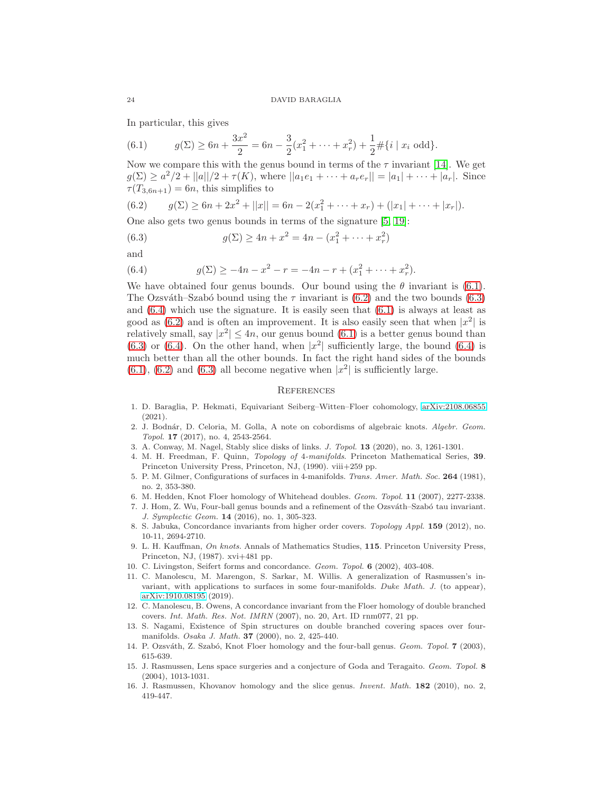In particular, this gives

<span id="page-23-16"></span>(6.1) 
$$
g(\Sigma) \ge 6n + \frac{3x^2}{2} = 6n - \frac{3}{2}(x_1^2 + \dots + x_r^2) + \frac{1}{2} \# \{ i \mid x_i \text{ odd} \}.
$$

Now we compare this with the genus bound in terms of the  $\tau$  invariant [\[14\]](#page-23-5). We get  $g(\Sigma) \ge a^2/2 + ||a||/2 + \tau(K)$ , where  $||a_1e_1 + \cdots + a_re_r|| = |a_1| + \cdots + |a_r|$ . Since  $\tau(T_{3,6n+1}) = 6n$ , this simplifies to

<span id="page-23-17"></span>
$$
(6.2) \t g(\Sigma) \ge 6n + 2x^2 + ||x|| = 6n - 2(x_1^2 + \dots + x_r) + (|x_1| + \dots + |x_r|).
$$

One also gets two genus bounds in terms of the signature [\[5,](#page-23-15) [19\]](#page-24-2):

<span id="page-23-18"></span>(6.3) 
$$
g(\Sigma) \ge 4n + x^2 = 4n - (x_1^2 + \dots + x_r^2)
$$

and

<span id="page-23-19"></span>(6.4) 
$$
g(\Sigma) \ge -4n - x^2 - r = -4n - r + (x_1^2 + \dots + x_r^2).
$$

We have obtained four genus bounds. Our bound using the  $\theta$  invariant is [\(6.1\)](#page-23-16). The Ozsváth–Szabó bound using the  $\tau$  invariant is [\(6.2\)](#page-23-17) and the two bounds [\(6.3\)](#page-23-18) and  $(6.4)$  which use the signature. It is easily seen that  $(6.1)$  is always at least as good as  $(6.2)$  and is often an improvement. It is also easily seen that when  $|x^2|$  is relatively small, say  $|x^2| \leq 4n$ , our genus bound [\(6.1\)](#page-23-16) is a better genus bound than  $(6.3)$  or  $(6.4)$ . On the other hand, when  $|x^2|$  sufficiently large, the bound  $(6.4)$  is much better than all the other bounds. In fact the right hand sides of the bounds  $(6.1)$ ,  $(6.2)$  and  $(6.3)$  all become negative when  $|x^2|$  is sufficiently large.

### **REFERENCES**

- <span id="page-23-0"></span>1. D. Baraglia, P. Hekmati, Equivariant Seiberg–Witten–Floer cohomology, [arXiv:2108.06855](http://arxiv.org/abs/2108.06855) (2021).
- <span id="page-23-3"></span>2. J. Bodnár, D. Celoria, M. Golla, A note on cobordisms of algebraic knots. Algebr. Geom. Topol. 17 (2017), no. 4, 2543-2564.
- <span id="page-23-13"></span><span id="page-23-8"></span>3. A. Conway, M. Nagel, Stably slice disks of links. J. Topol. 13 (2020), no. 3, 1261-1301.
- 4. M. H. Freedman, F. Quinn, Topology of 4-manifolds. Princeton Mathematical Series, 39. Princeton University Press, Princeton, NJ, (1990). viii+259 pp.
- <span id="page-23-15"></span>5. P. M. Gilmer, Configurations of surfaces in 4-manifolds. Trans. Amer. Math. Soc. 264 (1981), no. 2, 353-380.
- <span id="page-23-14"></span><span id="page-23-2"></span>6. M. Hedden, Knot Floer homology of Whitehead doubles. Geom. Topol. 11 (2007), 2277-2338.
- 7. J. Hom, Z. Wu, Four-ball genus bounds and a refinement of the Ozsváth–Szabó tau invariant. J. Symplectic Geom. 14 (2016), no. 1, 305-323.
- <span id="page-23-10"></span>8. S. Jabuka, Concordance invariants from higher order covers. Topology Appl. 159 (2012), no. 10-11, 2694-2710.
- <span id="page-23-11"></span>9. L. H. Kauffman, On knots. Annals of Mathematics Studies, 115. Princeton University Press, Princeton, NJ, (1987). xvi+481 pp.
- <span id="page-23-9"></span><span id="page-23-6"></span>10. C. Livingston, Seifert forms and concordance. Geom. Topol. 6 (2002), 403-408.
- 11. C. Manolescu, M. Marengon, S. Sarkar, M. Willis. A generalization of Rasmussen's invariant, with applications to surfaces in some four-manifolds. Duke Math. J. (to appear), [arXiv:1910.08195](http://arxiv.org/abs/1910.08195) (2019).
- <span id="page-23-1"></span>12. C. Manolescu, B. Owens, A concordance invariant from the Floer homology of double branched covers. Int. Math. Res. Not. IMRN (2007), no. 20, Art. ID rnm077, 21 pp.
- <span id="page-23-12"></span>13. S. Nagami, Existence of Spin structures on double branched covering spaces over fourmanifolds. Osaka J. Math. 37 (2000), no. 2, 425-440.
- <span id="page-23-5"></span><span id="page-23-4"></span>14. P. Ozsváth, Z. Szabó, Knot Floer homology and the four-ball genus. Geom. Topol. 7 (2003), 615-639.
- 15. J. Rasmussen, Lens space surgeries and a conjecture of Goda and Teragaito. Geom. Topol. 8 (2004), 1013-1031.
- <span id="page-23-7"></span>16. J. Rasmussen, Khovanov homology and the slice genus. Invent. Math. 182 (2010), no. 2, 419-447.